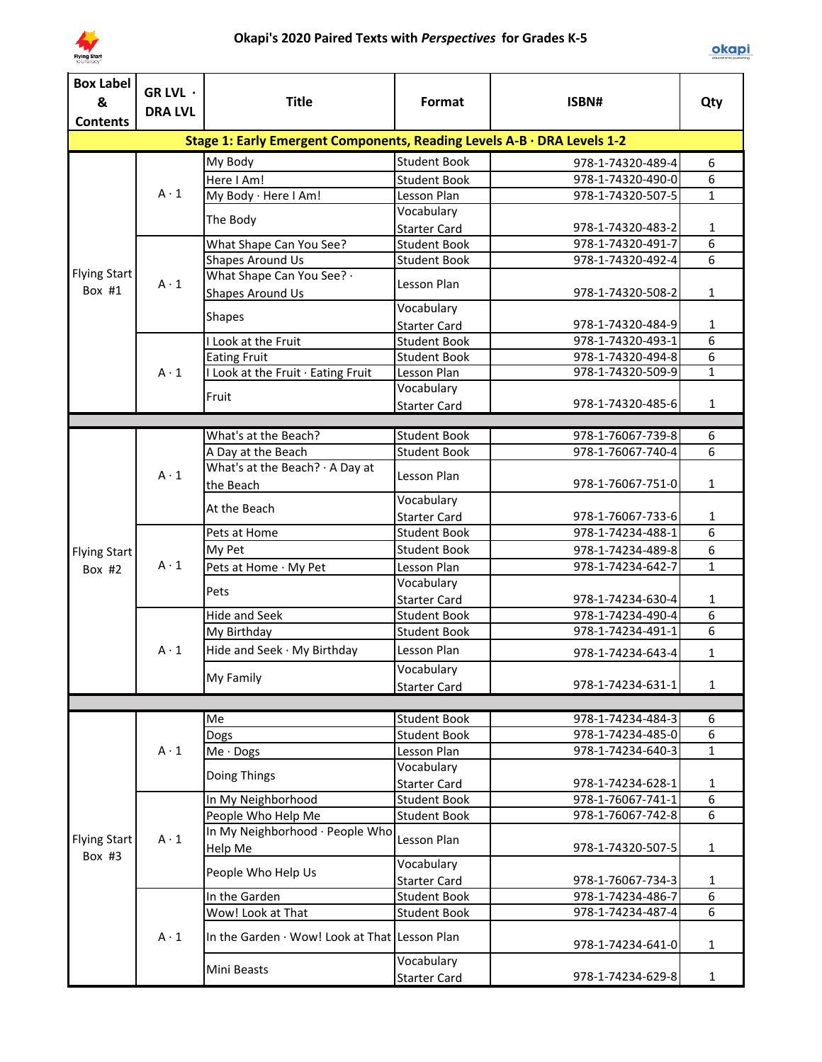

| <b>Box Label</b><br>&                                                   | GR LVL ·<br><b>DRA LVL</b> | <b>Title</b>                                                            | Format                                     | ISBN#                                  | Qty                              |
|-------------------------------------------------------------------------|----------------------------|-------------------------------------------------------------------------|--------------------------------------------|----------------------------------------|----------------------------------|
|                                                                         |                            |                                                                         |                                            |                                        |                                  |
|                                                                         |                            | Stage 1: Early Emergent Components, Reading Levels A-B · DRA Levels 1-2 |                                            |                                        |                                  |
|                                                                         |                            | My Body                                                                 | <b>Student Book</b>                        | 978-1-74320-489-4                      | 6                                |
|                                                                         | $A \cdot 1$                | Here I Am!                                                              | <b>Student Book</b>                        | 978-1-74320-490-0                      | 6                                |
|                                                                         |                            | My Body · Here I Am!                                                    | Lesson Plan                                | 978-1-74320-507-5                      | $\mathbf{1}$                     |
|                                                                         |                            | The Body                                                                | Vocabulary                                 |                                        |                                  |
|                                                                         |                            |                                                                         | <b>Starter Card</b>                        | 978-1-74320-483-2                      | 1                                |
|                                                                         |                            | What Shape Can You See?                                                 | <b>Student Book</b>                        | 978-1-74320-491-7                      | $\overline{6}$<br>$\overline{6}$ |
|                                                                         |                            | <b>Shapes Around Us</b><br>What Shape Can You See? .                    | <b>Student Book</b>                        | 978-1-74320-492-4                      |                                  |
| Box #1                                                                  | $A \cdot 1$                | Shapes Around Us                                                        | Lesson Plan                                | 978-1-74320-508-2                      | $\mathbf{1}$                     |
| <b>Contents</b><br><b>Flying Start</b><br><b>Flying Start</b><br>Box #2 |                            |                                                                         | Vocabulary                                 |                                        |                                  |
|                                                                         |                            | <b>Shapes</b>                                                           | <b>Starter Card</b>                        | 978-1-74320-484-9                      | 1                                |
|                                                                         |                            | I Look at the Fruit                                                     | <b>Student Book</b>                        | 978-1-74320-493-1                      | 6                                |
|                                                                         |                            | <b>Eating Fruit</b>                                                     | <b>Student Book</b>                        | 978-1-74320-494-8                      | 6                                |
|                                                                         | $A \cdot 1$                | I Look at the Fruit · Eating Fruit                                      | Lesson Plan                                | 978-1-74320-509-9                      | $\overline{1}$                   |
|                                                                         |                            | Fruit                                                                   | Vocabulary                                 |                                        |                                  |
|                                                                         |                            |                                                                         | <b>Starter Card</b>                        | 978-1-74320-485-6                      | $\mathbf{1}$                     |
|                                                                         |                            |                                                                         |                                            |                                        |                                  |
|                                                                         |                            | What's at the Beach?                                                    | <b>Student Book</b>                        | 978-1-76067-739-8                      | 6                                |
|                                                                         |                            | A Day at the Beach                                                      | <b>Student Book</b>                        | 978-1-76067-740-4                      | $\overline{6}$                   |
|                                                                         | $A \cdot 1$                | What's at the Beach? · A Day at<br>the Beach                            | Lesson Plan                                | 978-1-76067-751-0                      | $\mathbf{1}$                     |
|                                                                         |                            | At the Beach                                                            | Vocabulary<br><b>Starter Card</b>          | 978-1-76067-733-6                      | 1                                |
|                                                                         |                            | Pets at Home                                                            | <b>Student Book</b>                        | 978-1-74234-488-1                      | 6                                |
|                                                                         |                            | My Pet                                                                  | <b>Student Book</b>                        |                                        |                                  |
|                                                                         | $A \cdot 1$                |                                                                         |                                            | 978-1-74234-489-8                      | 6<br>$\mathbf{1}$                |
|                                                                         |                            | Pets at Home · My Pet                                                   | Lesson Plan<br>Vocabulary                  | 978-1-74234-642-7                      |                                  |
|                                                                         |                            | Pets                                                                    | <b>Starter Card</b>                        | 978-1-74234-630-4                      | 1                                |
|                                                                         |                            | Hide and Seek                                                           | <b>Student Book</b>                        | 978-1-74234-490-4                      | 6                                |
|                                                                         |                            | My Birthday                                                             | <b>Student Book</b>                        | 978-1-74234-491-1                      | 6                                |
|                                                                         |                            | Hide and Seek · My Birthday                                             |                                            |                                        |                                  |
|                                                                         | $A \cdot 1$                |                                                                         | Lesson Plan                                | 978-1-74234-643-4                      | $\mathbf{1}$                     |
|                                                                         |                            | My Family                                                               | Vocabulary                                 |                                        |                                  |
|                                                                         |                            |                                                                         | <b>Starter Card</b>                        | 978-1-74234-631-1                      | $\mathbf{1}$                     |
|                                                                         |                            |                                                                         |                                            |                                        |                                  |
|                                                                         |                            | Me                                                                      | <b>Student Book</b>                        | 978-1-74234-484-3                      | 6<br>6                           |
|                                                                         | $A \cdot 1$                | Dogs                                                                    | <b>Student Book</b>                        | 978-1-74234-485-0                      | $\mathbf{1}$                     |
|                                                                         |                            | Me · Dogs                                                               | Lesson Plan                                | 978-1-74234-640-3                      |                                  |
|                                                                         |                            | Doing Things                                                            | Vocabulary                                 |                                        |                                  |
|                                                                         |                            |                                                                         | <b>Starter Card</b><br><b>Student Book</b> | 978-1-74234-628-1<br>978-1-76067-741-1 | 1<br>6                           |
|                                                                         |                            | In My Neighborhood<br>People Who Help Me                                |                                            | 978-1-76067-742-8                      | 6                                |
|                                                                         |                            | In My Neighborhood · People Who                                         | <b>Student Book</b>                        |                                        |                                  |
| <b>Flying Start</b><br>Box #3                                           | $A \cdot 1$                | Help Me                                                                 | Lesson Plan                                | 978-1-74320-507-5                      | $\mathbf{1}$                     |
|                                                                         |                            | People Who Help Us                                                      | Vocabulary                                 |                                        |                                  |
|                                                                         |                            |                                                                         | <b>Starter Card</b>                        | 978-1-76067-734-3                      | 1                                |
|                                                                         |                            | In the Garden                                                           | <b>Student Book</b>                        | 978-1-74234-486-7                      | 6                                |
|                                                                         |                            | Wow! Look at That                                                       | <b>Student Book</b>                        | 978-1-74234-487-4                      | 6                                |
|                                                                         | $A \cdot 1$                | In the Garden · Wow! Look at That Lesson Plan                           |                                            | 978-1-74234-641-0                      | $\mathbf{1}$                     |
|                                                                         |                            | Mini Beasts                                                             | Vocabulary<br><b>Starter Card</b>          | 978-1-74234-629-8                      | $\mathbf{1}$                     |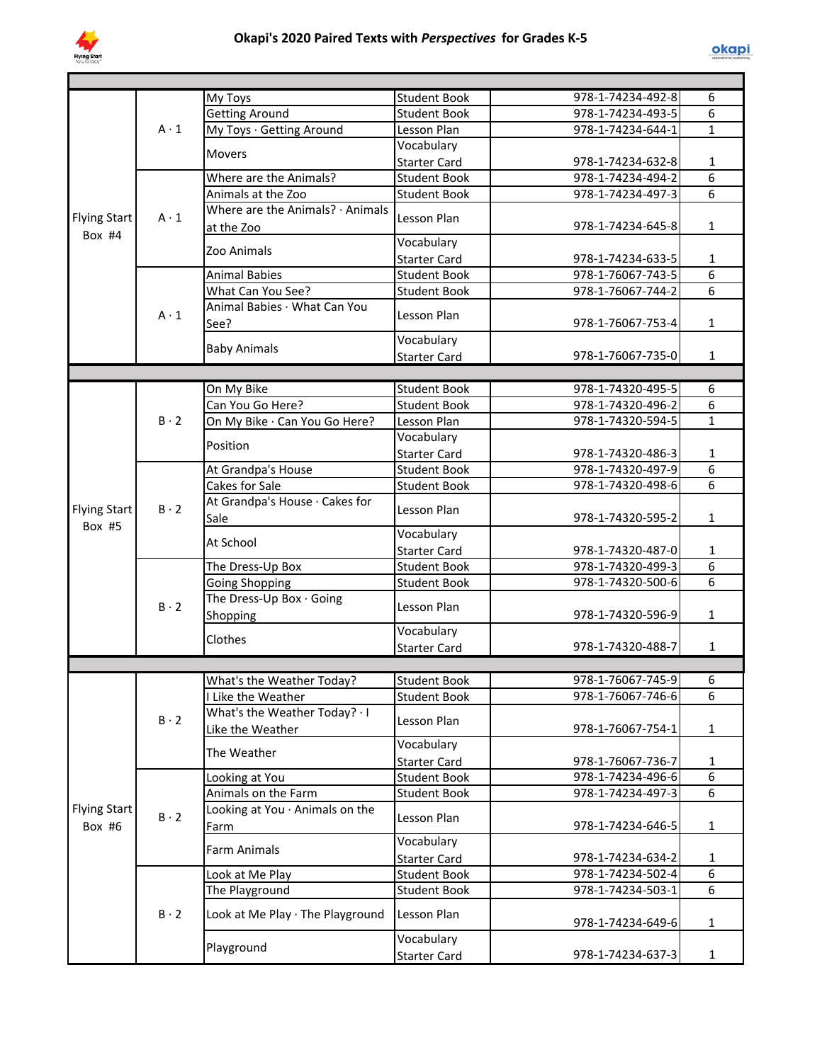

|                                 |             | My Toys                          | <b>Student Book</b> | 978-1-74234-492-8 | 6              |
|---------------------------------|-------------|----------------------------------|---------------------|-------------------|----------------|
|                                 |             | <b>Getting Around</b>            | <b>Student Book</b> | 978-1-74234-493-5 | 6              |
|                                 | $A \cdot 1$ | My Toys · Getting Around         | Lesson Plan         | 978-1-74234-644-1 | $\mathbf{1}$   |
|                                 |             |                                  | Vocabulary          |                   |                |
|                                 |             | <b>Movers</b>                    | <b>Starter Card</b> | 978-1-74234-632-8 | $\mathbf{1}$   |
|                                 |             | Where are the Animals?           | <b>Student Book</b> | 978-1-74234-494-2 | 6              |
|                                 |             | Animals at the Zoo               | <b>Student Book</b> | 978-1-74234-497-3 | 6              |
|                                 |             | Where are the Animals? · Animals |                     |                   |                |
| <b>Flying Start</b><br>Box $#4$ | $A \cdot 1$ | at the Zoo                       | Lesson Plan         | 978-1-74234-645-8 | $\mathbf{1}$   |
|                                 |             |                                  | Vocabulary          |                   |                |
|                                 |             | Zoo Animals                      | <b>Starter Card</b> | 978-1-74234-633-5 | 1              |
|                                 |             | <b>Animal Babies</b>             | <b>Student Book</b> | 978-1-76067-743-5 | 6              |
|                                 |             | What Can You See?                | <b>Student Book</b> | 978-1-76067-744-2 | $\overline{6}$ |
|                                 |             | Animal Babies · What Can You     |                     |                   |                |
|                                 | $A \cdot 1$ | See?                             | Lesson Plan         | 978-1-76067-753-4 | $\mathbf{1}$   |
|                                 |             |                                  | Vocabulary          |                   |                |
|                                 |             | <b>Baby Animals</b>              | Starter Card        | 978-1-76067-735-0 | $\mathbf{1}$   |
|                                 |             |                                  |                     |                   |                |
|                                 |             | On My Bike                       | <b>Student Book</b> | 978-1-74320-495-5 | 6              |
|                                 |             | Can You Go Here?                 | <b>Student Book</b> | 978-1-74320-496-2 | 6              |
|                                 | $B \cdot 2$ | On My Bike · Can You Go Here?    | Lesson Plan         | 978-1-74320-594-5 | $\mathbf{1}$   |
|                                 |             |                                  | Vocabulary          |                   |                |
|                                 |             | Position                         | <b>Starter Card</b> | 978-1-74320-486-3 | $\mathbf 1$    |
|                                 |             | At Grandpa's House               | <b>Student Book</b> | 978-1-74320-497-9 | $\overline{6}$ |
|                                 |             | Cakes for Sale                   | <b>Student Book</b> | 978-1-74320-498-6 | 6              |
|                                 |             | At Grandpa's House · Cakes for   |                     |                   |                |
| <b>Flying Start</b>             | $B \cdot 2$ | Sale                             | Lesson Plan         | 978-1-74320-595-2 | $\mathbf{1}$   |
| Box #5                          |             |                                  | Vocabulary          |                   |                |
|                                 |             | At School                        | <b>Starter Card</b> | 978-1-74320-487-0 | $\mathbf{1}$   |
|                                 |             | The Dress-Up Box                 | <b>Student Book</b> | 978-1-74320-499-3 | $\overline{6}$ |
|                                 |             | <b>Going Shopping</b>            | <b>Student Book</b> | 978-1-74320-500-6 | 6              |
|                                 |             | The Dress-Up Box · Going         |                     |                   |                |
|                                 | $B \cdot 2$ | Shopping                         | Lesson Plan         | 978-1-74320-596-9 | $\mathbf{1}$   |
|                                 |             |                                  | Vocabulary          |                   |                |
|                                 |             | Clothes                          | <b>Starter Card</b> | 978-1-74320-488-7 | $\mathbf{1}$   |
|                                 |             |                                  |                     |                   |                |
|                                 |             | What's the Weather Today?        | <b>Student Book</b> | 978-1-76067-745-9 | 6              |
|                                 |             | I Like the Weather               | <b>Student Book</b> | 978-1-76067-746-6 | 6              |
|                                 |             | What's the Weather Today? I      |                     |                   |                |
|                                 | $B \cdot 2$ | Like the Weather                 | Lesson Plan         | 978-1-76067-754-1 | 1              |
|                                 |             |                                  | Vocabulary          |                   |                |
|                                 |             | The Weather                      | <b>Starter Card</b> | 978-1-76067-736-7 | 1              |
|                                 |             | Looking at You                   | <b>Student Book</b> | 978-1-74234-496-6 | 6              |
|                                 |             | Animals on the Farm              | <b>Student Book</b> | 978-1-74234-497-3 | $\overline{6}$ |
| <b>Flying Start</b>             |             | Looking at You · Animals on the  |                     |                   |                |
| Box #6                          | $B \cdot 2$ | Farm                             | Lesson Plan         | 978-1-74234-646-5 | 1              |
|                                 |             |                                  | Vocabulary          |                   |                |
|                                 |             | <b>Farm Animals</b>              | <b>Starter Card</b> | 978-1-74234-634-2 | 1              |
|                                 |             | Look at Me Play                  | <b>Student Book</b> | 978-1-74234-502-4 | 6              |
|                                 |             | The Playground                   | <b>Student Book</b> | 978-1-74234-503-1 | $\overline{6}$ |
|                                 |             |                                  |                     |                   |                |
|                                 | $B \cdot 2$ | Look at Me Play · The Playground | Lesson Plan         | 978-1-74234-649-6 | $\mathbf{1}$   |
|                                 |             |                                  | Vocabulary          |                   |                |
|                                 |             | Playground                       | <b>Starter Card</b> | 978-1-74234-637-3 | $\mathbf{1}$   |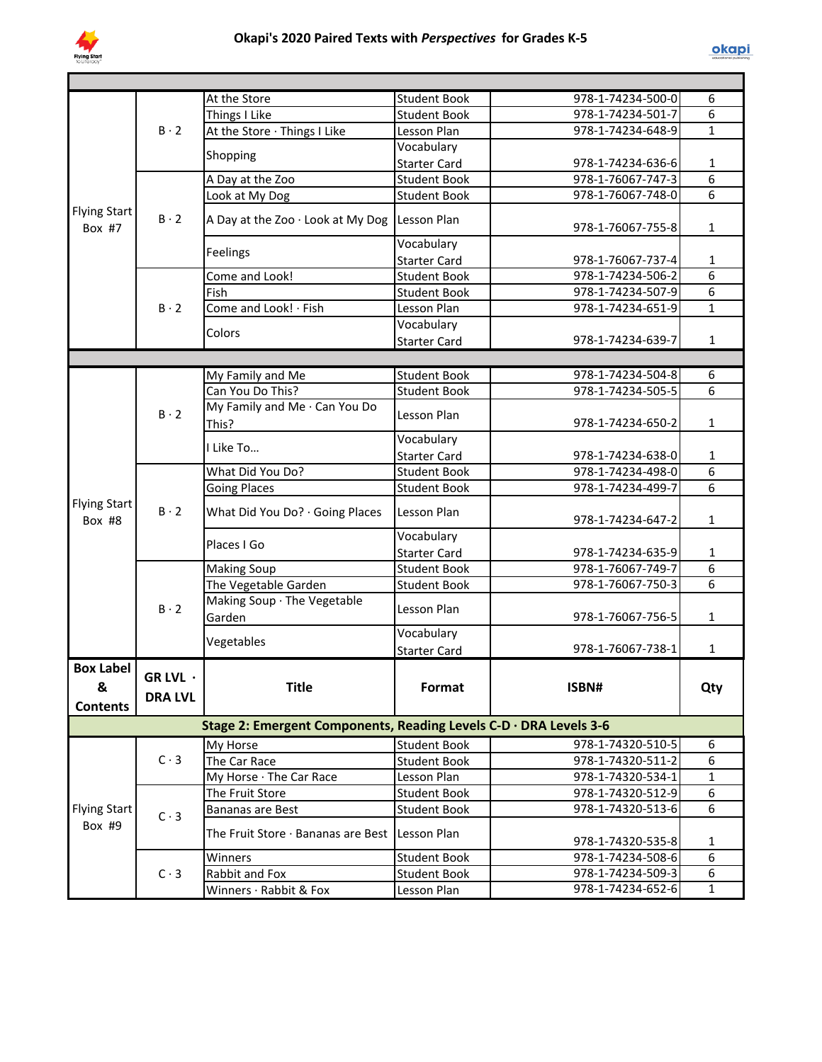

|                                          |                            | At the Store                                                      | <b>Student Book</b> | 978-1-74234-500-0 | 6              |
|------------------------------------------|----------------------------|-------------------------------------------------------------------|---------------------|-------------------|----------------|
|                                          | $B \cdot 2$                | Things I Like                                                     | <b>Student Book</b> | 978-1-74234-501-7 | 6              |
|                                          |                            | At the Store · Things I Like                                      | Lesson Plan         | 978-1-74234-648-9 | $\mathbf{1}$   |
|                                          |                            | Shopping                                                          | Vocabulary          |                   |                |
|                                          |                            |                                                                   | <b>Starter Card</b> | 978-1-74234-636-6 | $\mathbf{1}$   |
|                                          |                            | A Day at the Zoo                                                  | <b>Student Book</b> | 978-1-76067-747-3 | $\overline{6}$ |
|                                          |                            | Look at My Dog                                                    | <b>Student Book</b> | 978-1-76067-748-0 | $\overline{6}$ |
| <b>Flying Start</b><br>Box $#7$          | $B \cdot 2$                | A Day at the Zoo · Look at My Dog                                 | Lesson Plan         | 978-1-76067-755-8 | 1              |
|                                          |                            | Feelings                                                          | Vocabulary          |                   |                |
|                                          |                            |                                                                   | <b>Starter Card</b> | 978-1-76067-737-4 | $\mathbf{1}$   |
|                                          |                            | Come and Look!                                                    | <b>Student Book</b> | 978-1-74234-506-2 | 6              |
|                                          |                            | Fish                                                              | <b>Student Book</b> | 978-1-74234-507-9 | $\overline{6}$ |
|                                          | $B \cdot 2$                | Come and Look! · Fish                                             | Lesson Plan         | 978-1-74234-651-9 | $\mathbf{1}$   |
|                                          |                            | Colors                                                            | Vocabulary          |                   |                |
|                                          |                            |                                                                   | <b>Starter Card</b> | 978-1-74234-639-7 | $\mathbf{1}$   |
|                                          |                            |                                                                   |                     |                   |                |
|                                          |                            | My Family and Me                                                  | <b>Student Book</b> | 978-1-74234-504-8 | 6              |
|                                          |                            | Can You Do This?                                                  | <b>Student Book</b> | 978-1-74234-505-5 | 6              |
|                                          | $B \cdot 2$                | My Family and Me · Can You Do<br>This?                            | Lesson Plan         | 978-1-74234-650-2 | $\mathbf{1}$   |
|                                          |                            | I Like To                                                         | Vocabulary          |                   |                |
|                                          |                            |                                                                   | <b>Starter Card</b> | 978-1-74234-638-0 | $\mathbf{1}$   |
|                                          |                            | What Did You Do?                                                  | <b>Student Book</b> | 978-1-74234-498-0 | 6              |
|                                          |                            | <b>Going Places</b>                                               | <b>Student Book</b> | 978-1-74234-499-7 | 6              |
| <b>Flying Start</b><br>Box #8            | $B \cdot 2$                | What Did You Do? · Going Places                                   | Lesson Plan         | 978-1-74234-647-2 | $\mathbf{1}$   |
|                                          |                            | Places I Go                                                       | Vocabulary          |                   |                |
|                                          |                            |                                                                   | <b>Starter Card</b> | 978-1-74234-635-9 | $\mathbf{1}$   |
|                                          |                            | <b>Making Soup</b>                                                | <b>Student Book</b> | 978-1-76067-749-7 | 6              |
|                                          | $B \cdot 2$                | The Vegetable Garden                                              | <b>Student Book</b> | 978-1-76067-750-3 | 6              |
|                                          |                            | Making Soup · The Vegetable<br>Garden                             | Lesson Plan         | 978-1-76067-756-5 | $\mathbf{1}$   |
|                                          |                            |                                                                   | Vocabulary          |                   |                |
|                                          |                            | Vegetables                                                        | <b>Starter Card</b> | 978-1-76067-738-1 | $\mathbf{1}$   |
| <b>Box Label</b><br>&<br><b>Contents</b> | GR LVL ·<br><b>DRA LVL</b> | <b>Title</b>                                                      | Format              | ISBN#             | Qty            |
|                                          |                            | Stage 2: Emergent Components, Reading Levels C-D · DRA Levels 3-6 |                     |                   |                |
|                                          |                            | My Horse                                                          | Student Book        | 978-1-74320-510-5 | 6              |
|                                          | $C \cdot 3$                | The Car Race                                                      | <b>Student Book</b> | 978-1-74320-511-2 | 6              |
|                                          |                            | My Horse · The Car Race                                           | Lesson Plan         | 978-1-74320-534-1 | $\mathbf{1}$   |
|                                          |                            | The Fruit Store                                                   | <b>Student Book</b> | 978-1-74320-512-9 | 6              |
| <b>Flying Start</b>                      |                            | Bananas are Best                                                  | <b>Student Book</b> | 978-1-74320-513-6 | 6              |
| Box #9                                   | $C \cdot 3$                | The Fruit Store · Bananas are Best Lesson Plan                    |                     | 978-1-74320-535-8 | 1              |
|                                          |                            | Winners                                                           | <b>Student Book</b> | 978-1-74234-508-6 | 6              |
|                                          | $C \cdot 3$                | Rabbit and Fox                                                    | <b>Student Book</b> | 978-1-74234-509-3 | 6              |
|                                          |                            | Winners · Rabbit & Fox                                            | Lesson Plan         | 978-1-74234-652-6 | $\mathbf{1}$   |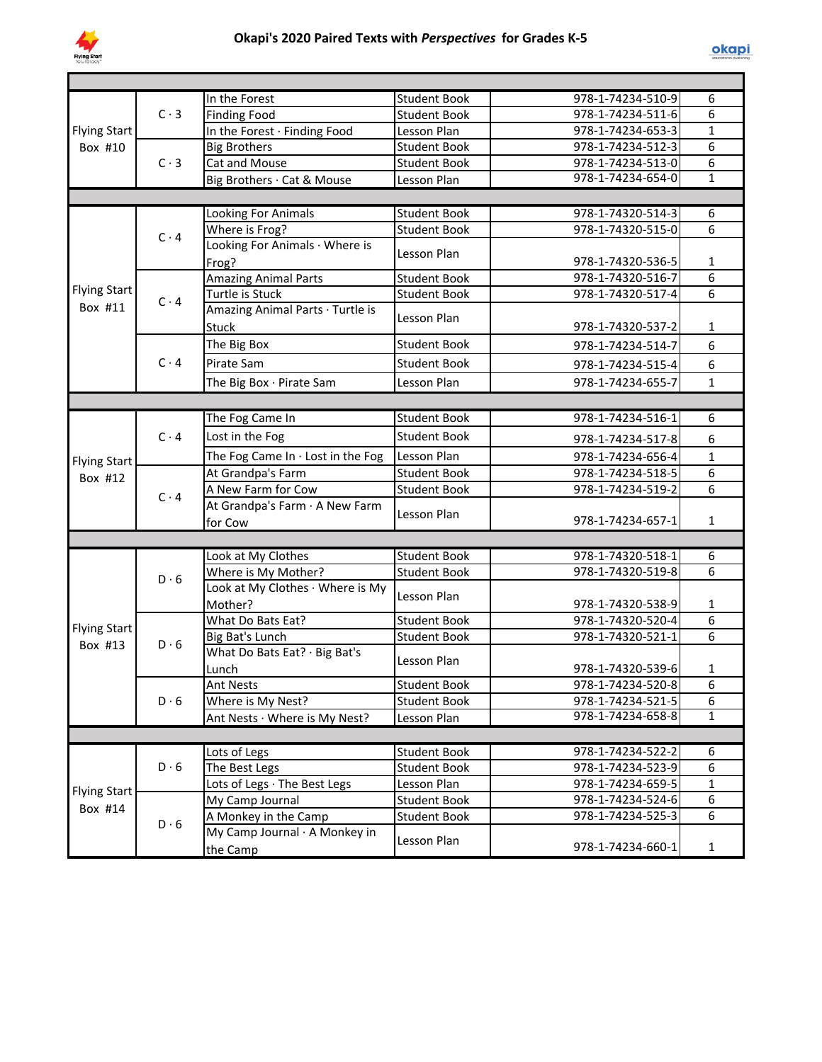

|                     |             | In the Forest                           | <b>Student Book</b> | 978-1-74234-510-9 | 6              |
|---------------------|-------------|-----------------------------------------|---------------------|-------------------|----------------|
|                     | $C \cdot 3$ | <b>Finding Food</b>                     | <b>Student Book</b> | 978-1-74234-511-6 | 6              |
| <b>Flying Start</b> |             | In the Forest · Finding Food            | Lesson Plan         | 978-1-74234-653-3 | $\mathbf{1}$   |
| Box #10             |             | <b>Big Brothers</b>                     | <b>Student Book</b> | 978-1-74234-512-3 | 6              |
|                     | $C \cdot 3$ | Cat and Mouse                           | <b>Student Book</b> | 978-1-74234-513-0 | 6              |
|                     |             | Big Brothers · Cat & Mouse              | Lesson Plan         | 978-1-74234-654-0 | $\overline{1}$ |
|                     |             |                                         |                     |                   |                |
|                     |             | Looking For Animals                     | <b>Student Book</b> | 978-1-74320-514-3 | 6              |
|                     | $C \cdot 4$ | Where is Frog?                          | <b>Student Book</b> | 978-1-74320-515-0 | 6              |
|                     |             | Looking For Animals · Where is          |                     |                   |                |
|                     |             | Frog?                                   | Lesson Plan         | 978-1-74320-536-5 | 1              |
|                     |             | <b>Amazing Animal Parts</b>             | <b>Student Book</b> | 978-1-74320-516-7 | 6              |
| <b>Flying Start</b> | $C \cdot 4$ | Turtle is Stuck                         | <b>Student Book</b> | 978-1-74320-517-4 | 6              |
| Box #11             |             | Amazing Animal Parts · Turtle is        |                     |                   |                |
|                     |             | Stuck                                   | Lesson Plan         | 978-1-74320-537-2 | $\mathbf{1}$   |
|                     |             | The Big Box                             | <b>Student Book</b> | 978-1-74234-514-7 | 6              |
|                     | $C \cdot 4$ | Pirate Sam                              | <b>Student Book</b> | 978-1-74234-515-4 | 6              |
|                     |             |                                         | Lesson Plan         | 978-1-74234-655-7 | $\mathbf{1}$   |
|                     |             | The Big Box · Pirate Sam                |                     |                   |                |
|                     |             |                                         |                     |                   |                |
|                     |             | The Fog Came In                         | <b>Student Book</b> | 978-1-74234-516-1 | 6              |
|                     | $C \cdot 4$ | Lost in the Fog                         | <b>Student Book</b> | 978-1-74234-517-8 | 6              |
| <b>Flying Start</b> |             | The Fog Came In $\cdot$ Lost in the Fog | Lesson Plan         | 978-1-74234-656-4 | $\mathbf 1$    |
| Box #12             |             | At Grandpa's Farm                       | <b>Student Book</b> | 978-1-74234-518-5 | 6              |
|                     | $C \cdot 4$ | A New Farm for Cow                      | <b>Student Book</b> | 978-1-74234-519-2 | 6              |
|                     |             | At Grandpa's Farm · A New Farm          |                     |                   |                |
|                     |             | for Cow                                 | Lesson Plan         | 978-1-74234-657-1 | $\mathbf{1}$   |
|                     |             |                                         |                     |                   |                |
|                     |             | Look at My Clothes                      | <b>Student Book</b> | 978-1-74320-518-1 | 6              |
|                     | $D \cdot 6$ | Where is My Mother?                     | <b>Student Book</b> | 978-1-74320-519-8 | 6              |
|                     |             | Look at My Clothes · Where is My        |                     |                   |                |
|                     |             | Mother?                                 | Lesson Plan         | 978-1-74320-538-9 | $\mathbf{1}$   |
|                     |             | What Do Bats Eat?                       | <b>Student Book</b> | 978-1-74320-520-4 | 6              |
| <b>Flying Start</b> | $D \cdot 6$ | Big Bat's Lunch                         | <b>Student Book</b> | 978-1-74320-521-1 | 6              |
| Box #13             |             | What Do Bats Eat? · Big Bat's           |                     |                   |                |
|                     |             | Lunch                                   | Lesson Plan         | 978-1-74320-539-6 | 1              |
|                     |             | <b>Ant Nests</b>                        | <b>Student Book</b> | 978-1-74234-520-8 | $\overline{6}$ |
|                     | $D \cdot 6$ | Where is My Nest?                       | <b>Student Book</b> | 978-1-74234-521-5 | 6              |
|                     |             | Ant Nests · Where is My Nest?           | Lesson Plan         | 978-1-74234-658-8 | $\mathbf{1}$   |
|                     |             |                                         |                     |                   |                |
|                     |             | Lots of Legs                            | <b>Student Book</b> | 978-1-74234-522-2 | 6              |
|                     | $D \cdot 6$ | The Best Legs                           | <b>Student Book</b> | 978-1-74234-523-9 | 6              |
|                     |             | Lots of Legs · The Best Legs            | Lesson Plan         | 978-1-74234-659-5 | $\mathbf{1}$   |
| <b>Flying Start</b> |             | My Camp Journal                         | <b>Student Book</b> | 978-1-74234-524-6 | 6              |
| Box #14             |             | A Monkey in the Camp                    | <b>Student Book</b> | 978-1-74234-525-3 | 6              |
|                     | $D \cdot 6$ | My Camp Journal · A Monkey in           |                     |                   |                |
|                     |             | the Camp                                | Lesson Plan         | 978-1-74234-660-1 | $\mathbf{1}$   |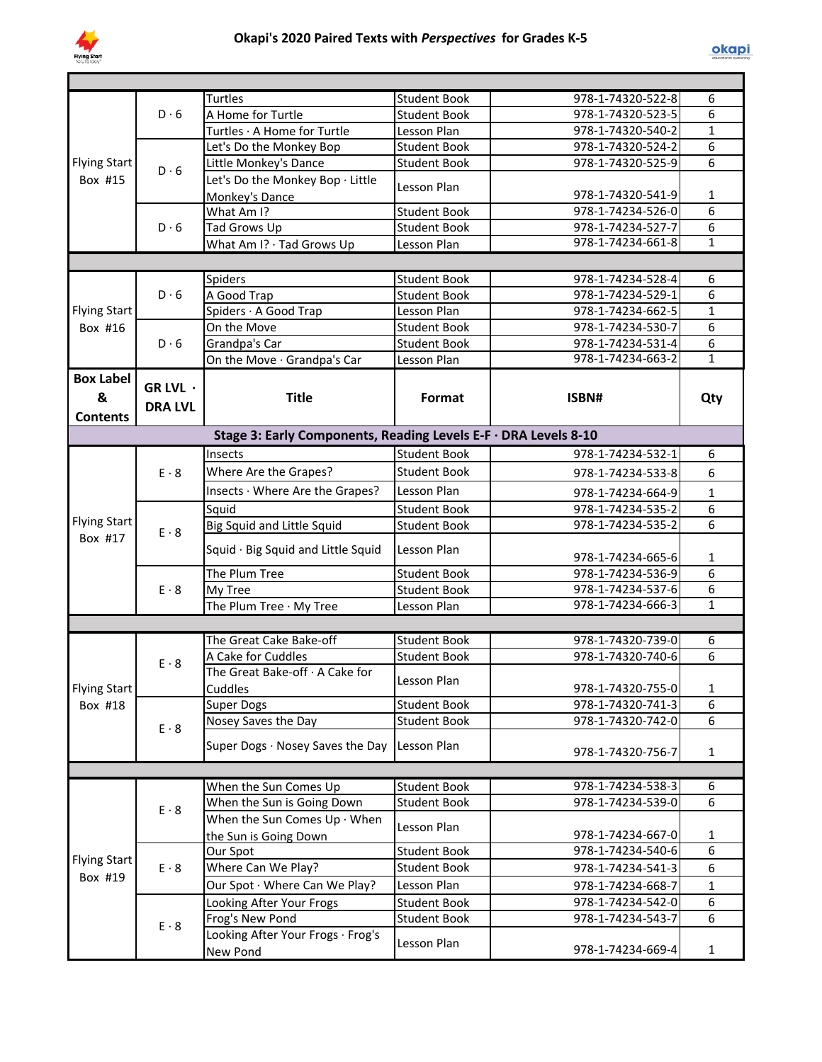

|                     |                | <b>Turtles</b>                                                  | <b>Student Book</b> | 978-1-74320-522-8 | 6              |
|---------------------|----------------|-----------------------------------------------------------------|---------------------|-------------------|----------------|
|                     | D.6            | A Home for Turtle                                               | Student Book        | 978-1-74320-523-5 | 6              |
|                     |                | Turtles · A Home for Turtle                                     | Lesson Plan         | 978-1-74320-540-2 | $\mathbf{1}$   |
|                     |                | Let's Do the Monkey Bop                                         | <b>Student Book</b> | 978-1-74320-524-2 | 6              |
| <b>Flying Start</b> | $D \cdot 6$    | Little Monkey's Dance                                           | <b>Student Book</b> | 978-1-74320-525-9 | 6              |
| Box #15             |                | Let's Do the Monkey Bop · Little                                | Lesson Plan         |                   |                |
|                     |                | Monkey's Dance                                                  |                     | 978-1-74320-541-9 | 1              |
|                     |                | What Am I?                                                      | <b>Student Book</b> | 978-1-74234-526-0 | $\overline{6}$ |
|                     | $D \cdot 6$    | Tad Grows Up                                                    | <b>Student Book</b> | 978-1-74234-527-7 | $\overline{6}$ |
|                     |                | What Am I? · Tad Grows Up                                       | Lesson Plan         | 978-1-74234-661-8 | $\overline{1}$ |
|                     |                |                                                                 |                     |                   |                |
|                     |                | Spiders                                                         | <b>Student Book</b> | 978-1-74234-528-4 | 6              |
|                     | $D \cdot 6$    | A Good Trap                                                     | <b>Student Book</b> | 978-1-74234-529-1 | 6              |
| <b>Flying Start</b> |                | Spiders · A Good Trap                                           | Lesson Plan         | 978-1-74234-662-5 | $\mathbf{1}$   |
| Box #16             |                | On the Move                                                     | <b>Student Book</b> | 978-1-74234-530-7 | 6              |
|                     | $D \cdot 6$    | Grandpa's Car                                                   | <b>Student Book</b> | 978-1-74234-531-4 | 6              |
|                     |                | On the Move · Grandpa's Car                                     | Lesson Plan         | 978-1-74234-663-2 | $\mathbf{1}$   |
| <b>Box Label</b>    | GR LVL ·       |                                                                 |                     |                   |                |
| &                   |                | <b>Title</b>                                                    | Format              | ISBN#             | Qty            |
| <b>Contents</b>     | <b>DRA LVL</b> |                                                                 |                     |                   |                |
|                     |                | Stage 3: Early Components, Reading Levels E-F · DRA Levels 8-10 |                     |                   |                |
|                     |                | Insects                                                         | <b>Student Book</b> | 978-1-74234-532-1 | 6              |
|                     | $E \cdot 8$    |                                                                 | <b>Student Book</b> |                   |                |
|                     |                | Where Are the Grapes?                                           |                     | 978-1-74234-533-8 | 6              |
|                     |                | Insects · Where Are the Grapes?                                 | Lesson Plan         | 978-1-74234-664-9 | $\mathbf{1}$   |
| <b>Flying Start</b> |                | Squid                                                           | <b>Student Book</b> | 978-1-74234-535-2 | $\overline{6}$ |
| Box #17             | $E \cdot 8$    | <b>Big Squid and Little Squid</b>                               | <b>Student Book</b> | 978-1-74234-535-2 | $\overline{6}$ |
|                     |                | Squid · Big Squid and Little Squid                              | Lesson Plan         | 978-1-74234-665-6 | 1              |
|                     | $E \cdot 8$    | The Plum Tree                                                   | <b>Student Book</b> | 978-1-74234-536-9 | 6              |
|                     |                | My Tree                                                         | <b>Student Book</b> | 978-1-74234-537-6 | $\overline{6}$ |
|                     |                | The Plum Tree · My Tree                                         | Lesson Plan         | 978-1-74234-666-3 | $\overline{1}$ |
|                     |                |                                                                 |                     |                   |                |
|                     |                | The Great Cake Bake-off                                         | <b>Student Book</b> | 978-1-74320-739-0 | 6              |
|                     |                | A Cake for Cuddles                                              | <b>Student Book</b> | 978-1-74320-740-6 | 6              |
|                     | $E \cdot 8$    | The Great Bake-off · A Cake for                                 |                     |                   |                |
| Flying Start        |                | Cuddles                                                         | Lesson Plan         | 978-1-74320-755-0 | 1              |
| Box #18             |                | <b>Super Dogs</b>                                               | <b>Student Book</b> | 978-1-74320-741-3 | 6              |
|                     | $E \cdot 8$    | Nosey Saves the Day                                             | <b>Student Book</b> | 978-1-74320-742-0 | 6              |
|                     |                | Super Dogs · Nosey Saves the Day                                | Lesson Plan         |                   |                |
|                     |                |                                                                 |                     | 978-1-74320-756-7 | $\mathbf{1}$   |
|                     |                |                                                                 |                     |                   |                |
|                     |                | When the Sun Comes Up                                           | <b>Student Book</b> | 978-1-74234-538-3 | 6              |
|                     | $E \cdot 8$    | When the Sun is Going Down                                      | <b>Student Book</b> | 978-1-74234-539-0 | 6              |
|                     |                | When the Sun Comes $Up \cdot When$                              | Lesson Plan         |                   |                |
|                     |                | the Sun is Going Down                                           |                     | 978-1-74234-667-0 | $\mathbf{1}$   |
| <b>Flying Start</b> |                | Our Spot                                                        | <b>Student Book</b> | 978-1-74234-540-6 | 6              |
| Box #19             | $E \cdot 8$    | Where Can We Play?                                              | Student Book        | 978-1-74234-541-3 | 6              |
|                     |                | Our Spot · Where Can We Play?                                   | Lesson Plan         | 978-1-74234-668-7 | $\mathbf 1$    |
|                     |                | Looking After Your Frogs                                        | <b>Student Book</b> | 978-1-74234-542-0 | 6              |
|                     | $E \cdot 8$    | Frog's New Pond                                                 | <b>Student Book</b> | 978-1-74234-543-7 | 6              |
|                     |                | Looking After Your Frogs · Frog's<br>New Pond                   | Lesson Plan         | 978-1-74234-669-4 | $\mathbf{1}$   |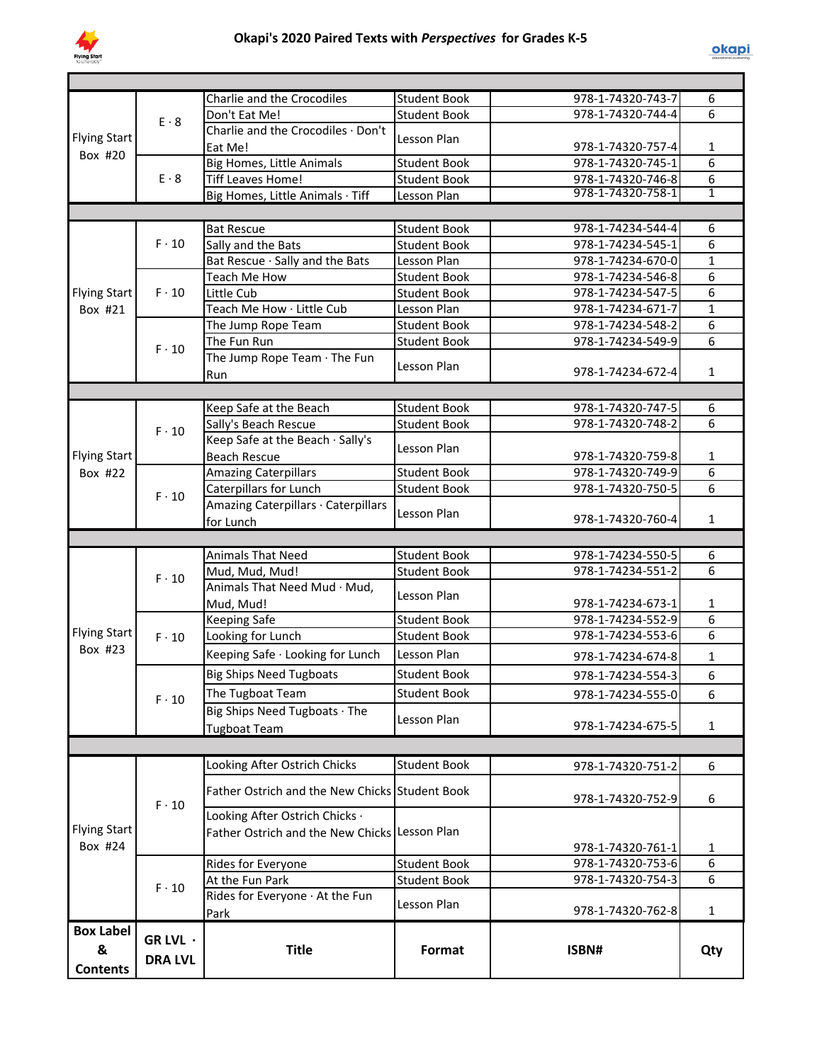

| <b>Flying Start</b><br>Box #24<br><b>Box Label</b> | $F \cdot 10$<br>$F \cdot 10$ | Looking After Ostrich Chicks<br>Father Ostrich and the New Chicks Student Book<br>Looking After Ostrich Chicks .<br>Father Ostrich and the New Chicks<br>Rides for Everyone<br>At the Fun Park<br>Rides for Everyone · At the Fun<br>Park | <b>Student Book</b><br>Lesson Plan<br><b>Student Book</b><br><b>Student Book</b><br>Lesson Plan | 978-1-74320-751-2<br>978-1-74320-752-9<br>978-1-74320-761-1<br>978-1-74320-753-6<br>978-1-74320-754-3<br>978-1-74320-762-8 | 6<br>6<br>1<br>$\overline{6}$<br>6<br>$\mathbf{1}$ |
|----------------------------------------------------|------------------------------|-------------------------------------------------------------------------------------------------------------------------------------------------------------------------------------------------------------------------------------------|-------------------------------------------------------------------------------------------------|----------------------------------------------------------------------------------------------------------------------------|----------------------------------------------------|
|                                                    |                              |                                                                                                                                                                                                                                           |                                                                                                 |                                                                                                                            |                                                    |
|                                                    |                              |                                                                                                                                                                                                                                           |                                                                                                 |                                                                                                                            |                                                    |
|                                                    |                              |                                                                                                                                                                                                                                           |                                                                                                 |                                                                                                                            |                                                    |
|                                                    |                              |                                                                                                                                                                                                                                           |                                                                                                 |                                                                                                                            |                                                    |
|                                                    |                              |                                                                                                                                                                                                                                           |                                                                                                 |                                                                                                                            |                                                    |
|                                                    |                              |                                                                                                                                                                                                                                           |                                                                                                 |                                                                                                                            |                                                    |
|                                                    |                              |                                                                                                                                                                                                                                           |                                                                                                 |                                                                                                                            |                                                    |
|                                                    |                              |                                                                                                                                                                                                                                           |                                                                                                 |                                                                                                                            |                                                    |
|                                                    |                              | Big Ships Need Tugboats · The<br><b>Tugboat Team</b>                                                                                                                                                                                      | Lesson Plan                                                                                     | 978-1-74234-675-5                                                                                                          | $\mathbf{1}$                                       |
|                                                    | $F \cdot 10$                 | The Tugboat Team                                                                                                                                                                                                                          | <b>Student Book</b>                                                                             | 978-1-74234-555-0                                                                                                          | 6                                                  |
|                                                    |                              | <b>Big Ships Need Tugboats</b>                                                                                                                                                                                                            | <b>Student Book</b>                                                                             | 978-1-74234-554-3                                                                                                          | 6                                                  |
|                                                    |                              | Keeping Safe · Looking for Lunch                                                                                                                                                                                                          | Lesson Plan                                                                                     | 978-1-74234-674-8                                                                                                          | $\mathbf{1}$                                       |
| Box #23                                            | $F \cdot 10$                 | Looking for Lunch                                                                                                                                                                                                                         |                                                                                                 |                                                                                                                            |                                                    |
| <b>Flying Start</b>                                |                              | <b>Keeping Safe</b>                                                                                                                                                                                                                       | <b>Student Book</b><br><b>Student Book</b>                                                      | 978-1-74234-552-9<br>978-1-74234-553-6                                                                                     | 6                                                  |
|                                                    |                              | Mud, Mud!                                                                                                                                                                                                                                 |                                                                                                 | 978-1-74234-673-1                                                                                                          | 1<br>6                                             |
|                                                    | $F \cdot 10$                 | Animals That Need Mud · Mud,                                                                                                                                                                                                              | Lesson Plan                                                                                     |                                                                                                                            |                                                    |
|                                                    |                              | Mud, Mud, Mud!                                                                                                                                                                                                                            | <b>Student Book</b>                                                                             | 978-1-74234-551-2                                                                                                          | 6                                                  |
|                                                    |                              | <b>Animals That Need</b>                                                                                                                                                                                                                  | <b>Student Book</b>                                                                             | 978-1-74234-550-5                                                                                                          | 6                                                  |
|                                                    |                              |                                                                                                                                                                                                                                           |                                                                                                 |                                                                                                                            |                                                    |
|                                                    |                              | Amazing Caterpillars · Caterpillars<br>for Lunch                                                                                                                                                                                          | Lesson Plan                                                                                     | 978-1-74320-760-4                                                                                                          | $\mathbf{1}$                                       |
|                                                    | $F \cdot 10$                 | Caterpillars for Lunch                                                                                                                                                                                                                    | <b>Student Book</b>                                                                             | 978-1-74320-750-5                                                                                                          | 6                                                  |
| Box #22                                            |                              | <b>Amazing Caterpillars</b>                                                                                                                                                                                                               | <b>Student Book</b>                                                                             | 978-1-74320-749-9                                                                                                          | 6                                                  |
| <b>Flying Start</b>                                |                              | Keep Safe at the Beach · Sally's<br><b>Beach Rescue</b>                                                                                                                                                                                   | Lesson Plan                                                                                     | 978-1-74320-759-8                                                                                                          | $\mathbf{1}$                                       |
|                                                    | $F \cdot 10$                 | Sally's Beach Rescue                                                                                                                                                                                                                      | <b>Student Book</b>                                                                             | 978-1-74320-748-2                                                                                                          | 6                                                  |
|                                                    |                              | Keep Safe at the Beach                                                                                                                                                                                                                    | <b>Student Book</b>                                                                             | 978-1-74320-747-5                                                                                                          | 6                                                  |
|                                                    |                              | Run                                                                                                                                                                                                                                       |                                                                                                 | 978-1-74234-672-4                                                                                                          | $\mathbf{1}$                                       |
|                                                    | $F \cdot 10$                 | The Jump Rope Team · The Fun                                                                                                                                                                                                              | Lesson Plan                                                                                     |                                                                                                                            |                                                    |
|                                                    |                              | The Fun Run                                                                                                                                                                                                                               | <b>Student Book</b>                                                                             | 978-1-74234-549-9                                                                                                          | $\overline{6}$                                     |
|                                                    |                              | The Jump Rope Team                                                                                                                                                                                                                        | <b>Student Book</b>                                                                             | 978-1-74234-548-2                                                                                                          | 6                                                  |
| Box #21                                            |                              | Teach Me How · Little Cub                                                                                                                                                                                                                 | Lesson Plan                                                                                     | 978-1-74234-671-7                                                                                                          | $\mathbf{1}$                                       |
| <b>Flying Start</b>                                | $F \cdot 10$                 | Teach Me How<br>Little Cub                                                                                                                                                                                                                | <b>Student Book</b><br><b>Student Book</b>                                                      | 978-1-74234-547-5                                                                                                          | 6                                                  |
|                                                    |                              | Bat Rescue · Sally and the Bats                                                                                                                                                                                                           | Lesson Plan                                                                                     | 978-1-74234-670-0<br>978-1-74234-546-8                                                                                     | $\mathbf{1}$<br>6                                  |
|                                                    | $F \cdot 10$                 | Sally and the Bats                                                                                                                                                                                                                        | <b>Student Book</b>                                                                             | 978-1-74234-545-1                                                                                                          | 6                                                  |
|                                                    |                              | <b>Bat Rescue</b>                                                                                                                                                                                                                         | <b>Student Book</b>                                                                             | 978-1-74234-544-4                                                                                                          | 6                                                  |
|                                                    |                              |                                                                                                                                                                                                                                           |                                                                                                 |                                                                                                                            |                                                    |
|                                                    |                              | Big Homes, Little Animals · Tiff                                                                                                                                                                                                          | Lesson Plan                                                                                     | 978-1-74320-758-1                                                                                                          | $\overline{1}$                                     |
|                                                    | $E \cdot 8$                  | <b>Tiff Leaves Home!</b>                                                                                                                                                                                                                  | <b>Student Book</b>                                                                             | 978-1-74320-746-8                                                                                                          | 6                                                  |
|                                                    |                              | <b>Big Homes, Little Animals</b>                                                                                                                                                                                                          | <b>Student Book</b>                                                                             | 978-1-74320-745-1                                                                                                          | $\overline{6}$                                     |
| <b>Flying Start</b><br>Box #20                     |                              | Eat Me!                                                                                                                                                                                                                                   | Lesson Plan                                                                                     | 978-1-74320-757-4                                                                                                          | 1                                                  |
|                                                    | $E \cdot 8$                  | Charlie and the Crocodiles · Don't                                                                                                                                                                                                        |                                                                                                 |                                                                                                                            |                                                    |
|                                                    |                              | Don't Eat Me!                                                                                                                                                                                                                             | <b>Student Book</b>                                                                             | 978-1-74320-744-4                                                                                                          | 6                                                  |
|                                                    |                              | Charlie and the Crocodiles                                                                                                                                                                                                                | <b>Student Book</b>                                                                             | 978-1-74320-743-7                                                                                                          | 6                                                  |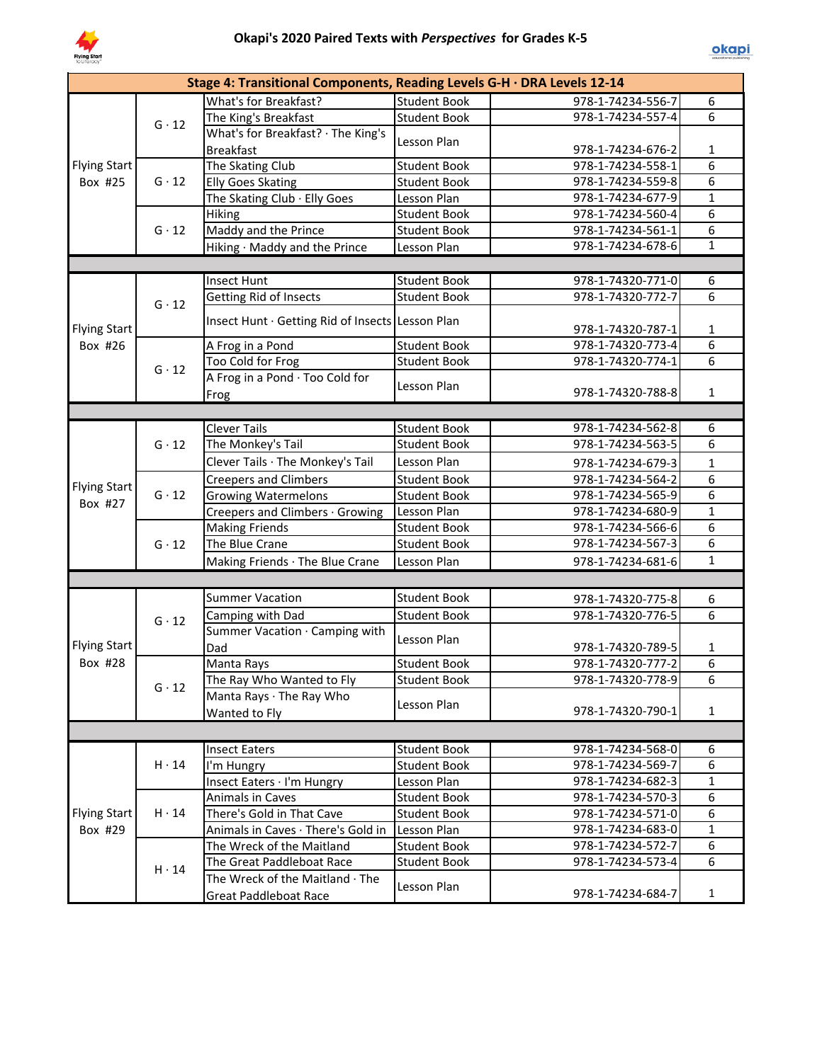

|                                         |              | Stage 4: Transitional Components, Reading Levels G-H · DRA Levels 12-14 |                     |                   |                  |
|-----------------------------------------|--------------|-------------------------------------------------------------------------|---------------------|-------------------|------------------|
|                                         |              | What's for Breakfast?                                                   | <b>Student Book</b> | 978-1-74234-556-7 | 6                |
|                                         | $G \cdot 12$ | The King's Breakfast                                                    | <b>Student Book</b> | 978-1-74234-557-4 | $\overline{6}$   |
|                                         |              | What's for Breakfast? · The King's                                      |                     |                   |                  |
| Flying Start<br>$G \cdot 12$<br>Box #25 |              | <b>Breakfast</b>                                                        | Lesson Plan         | 978-1-74234-676-2 | $\mathbf{1}$     |
|                                         |              | The Skating Club                                                        | <b>Student Book</b> | 978-1-74234-558-1 | $\overline{6}$   |
|                                         |              | <b>Elly Goes Skating</b>                                                | <b>Student Book</b> | 978-1-74234-559-8 | $\overline{6}$   |
|                                         |              | The Skating Club · Elly Goes                                            | Lesson Plan         | 978-1-74234-677-9 | $\mathbf 1$      |
|                                         |              | Hiking                                                                  | <b>Student Book</b> | 978-1-74234-560-4 | $\overline{6}$   |
|                                         | $G \cdot 12$ | Maddy and the Prince                                                    | <b>Student Book</b> | 978-1-74234-561-1 | $\overline{6}$   |
|                                         |              | Hiking · Maddy and the Prince                                           | Lesson Plan         | 978-1-74234-678-6 | $\mathbf{1}$     |
|                                         |              |                                                                         |                     |                   |                  |
|                                         |              | <b>Insect Hunt</b>                                                      | <b>Student Book</b> | 978-1-74320-771-0 | 6                |
|                                         | $G \cdot 12$ | Getting Rid of Insects                                                  | <b>Student Book</b> | 978-1-74320-772-7 | 6                |
| <b>Flying Start</b>                     |              | Insect Hunt · Getting Rid of Insects Lesson Plan                        |                     | 978-1-74320-787-1 | $\mathbf{1}$     |
| Box #26                                 |              | A Frog in a Pond                                                        | <b>Student Book</b> | 978-1-74320-773-4 | 6                |
|                                         |              | Too Cold for Frog                                                       | <b>Student Book</b> | 978-1-74320-774-1 | 6                |
|                                         | $G \cdot 12$ | A Frog in a Pond · Too Cold for                                         |                     |                   |                  |
|                                         |              | Frog                                                                    | Lesson Plan         | 978-1-74320-788-8 | $\mathbf{1}$     |
|                                         |              |                                                                         |                     |                   |                  |
|                                         |              | <b>Clever Tails</b>                                                     | <b>Student Book</b> | 978-1-74234-562-8 | 6                |
|                                         | $G \cdot 12$ | The Monkey's Tail                                                       | <b>Student Book</b> | 978-1-74234-563-5 | 6                |
|                                         |              | Clever Tails · The Monkey's Tail                                        | Lesson Plan         | 978-1-74234-679-3 | $\mathbf 1$      |
|                                         |              | <b>Creepers and Climbers</b>                                            | <b>Student Book</b> | 978-1-74234-564-2 | $\overline{6}$   |
| <b>Flying Start</b>                     | $G \cdot 12$ | <b>Growing Watermelons</b>                                              | <b>Student Book</b> | 978-1-74234-565-9 | $\overline{6}$   |
| Box #27                                 |              | Creepers and Climbers · Growing                                         | Lesson Plan         | 978-1-74234-680-9 | $\mathbf{1}$     |
|                                         |              | <b>Making Friends</b>                                                   | <b>Student Book</b> | 978-1-74234-566-6 | $\overline{6}$   |
|                                         | $G \cdot 12$ | The Blue Crane                                                          | <b>Student Book</b> | 978-1-74234-567-3 | $\overline{6}$   |
|                                         |              | Making Friends · The Blue Crane                                         | Lesson Plan         | 978-1-74234-681-6 | $\mathbf{1}$     |
|                                         |              |                                                                         |                     |                   |                  |
|                                         |              | <b>Summer Vacation</b>                                                  | <b>Student Book</b> | 978-1-74320-775-8 | 6                |
|                                         |              |                                                                         | <b>Student Book</b> | 978-1-74320-776-5 | $\overline{6}$   |
|                                         | $G \cdot 12$ | Camping with Dad<br>Summer Vacation · Camping with                      |                     |                   |                  |
| <b>Flying Start</b>                     |              | Dad                                                                     | Lesson Plan         | 978-1-74320-789-5 | $\mathbf{1}$     |
| Box #28                                 |              | Manta Rays                                                              | <b>Student Book</b> | 978-1-74320-777-2 | $\boldsymbol{6}$ |
|                                         |              | The Ray Who Wanted to Fly                                               | <b>Student Book</b> | 978-1-74320-778-9 | 6                |
|                                         | $G \cdot 12$ | Manta Rays · The Ray Who                                                |                     |                   |                  |
|                                         |              | Wanted to Fly                                                           | Lesson Plan         | 978-1-74320-790-1 | 1                |
|                                         |              |                                                                         |                     |                   |                  |
|                                         |              |                                                                         |                     |                   |                  |
|                                         |              | <b>Insect Eaters</b>                                                    | <b>Student Book</b> | 978-1-74234-568-0 | 6                |
|                                         | $H \cdot 14$ | I'm Hungry                                                              | <b>Student Book</b> | 978-1-74234-569-7 | 6                |
|                                         |              | Insect Eaters · I'm Hungry                                              | Lesson Plan         | 978-1-74234-682-3 | $\mathbf{1}$     |
|                                         |              | Animals in Caves                                                        | <b>Student Book</b> | 978-1-74234-570-3 | 6                |
| <b>Flying Start</b>                     | $H \cdot 14$ | There's Gold in That Cave                                               | <b>Student Book</b> | 978-1-74234-571-0 | 6                |
| Box #29                                 |              | Animals in Caves · There's Gold in                                      | Lesson Plan         | 978-1-74234-683-0 | $\mathbf{1}$     |
|                                         |              | The Wreck of the Maitland                                               | <b>Student Book</b> | 978-1-74234-572-7 | 6                |
|                                         | $H \cdot 14$ | The Great Paddleboat Race                                               | <b>Student Book</b> | 978-1-74234-573-4 | 6                |
|                                         |              | The Wreck of the Maitland · The<br><b>Great Paddleboat Race</b>         | Lesson Plan         | 978-1-74234-684-7 | $\mathbf{1}$     |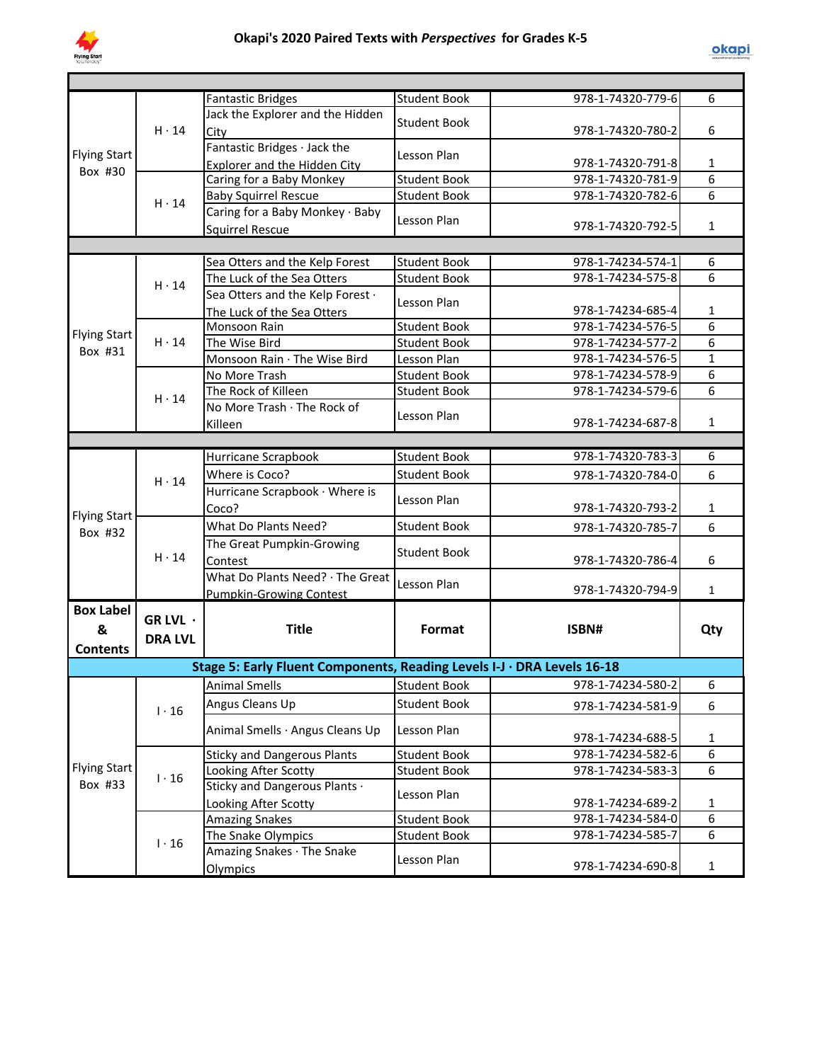

|                     |                                              | <b>Fantastic Bridges</b>                                                | <b>Student Book</b> | 978-1-74320-779-6 | 6              |
|---------------------|----------------------------------------------|-------------------------------------------------------------------------|---------------------|-------------------|----------------|
|                     | $H \cdot 14$                                 | Jack the Explorer and the Hidden                                        | <b>Student Book</b> |                   |                |
|                     |                                              | City                                                                    |                     | 978-1-74320-780-2 | 6              |
| <b>Flying Start</b> |                                              | Fantastic Bridges · Jack the                                            | Lesson Plan         |                   |                |
| Box #30             |                                              | Explorer and the Hidden City                                            |                     | 978-1-74320-791-8 | 1              |
|                     |                                              | Caring for a Baby Monkey                                                | <b>Student Book</b> | 978-1-74320-781-9 | $\overline{6}$ |
|                     | $H \cdot 14$                                 | <b>Baby Squirrel Rescue</b>                                             | <b>Student Book</b> | 978-1-74320-782-6 | 6              |
|                     |                                              | Caring for a Baby Monkey · Baby                                         | Lesson Plan         |                   |                |
|                     |                                              | <b>Squirrel Rescue</b>                                                  |                     | 978-1-74320-792-5 | $\mathbf{1}$   |
|                     |                                              |                                                                         |                     |                   |                |
|                     |                                              | Sea Otters and the Kelp Forest                                          | <b>Student Book</b> | 978-1-74234-574-1 | 6              |
|                     | $H \cdot 14$                                 | The Luck of the Sea Otters                                              | <b>Student Book</b> | 978-1-74234-575-8 | 6              |
|                     |                                              | Sea Otters and the Kelp Forest .                                        | Lesson Plan         |                   |                |
|                     |                                              | The Luck of the Sea Otters                                              |                     | 978-1-74234-685-4 | $\mathbf{1}$   |
| <b>Flying Start</b> |                                              | Monsoon Rain                                                            | <b>Student Book</b> | 978-1-74234-576-5 | 6              |
| Box #31             | $H \cdot 14$<br>$H \cdot 14$<br>$H \cdot 14$ | The Wise Bird                                                           | <b>Student Book</b> | 978-1-74234-577-2 | 6              |
|                     |                                              | Monsoon Rain · The Wise Bird                                            | Lesson Plan         | 978-1-74234-576-5 | $\mathbf{1}$   |
|                     |                                              | No More Trash                                                           | <b>Student Book</b> | 978-1-74234-578-9 | 6              |
|                     |                                              | The Rock of Killeen                                                     | <b>Student Book</b> | 978-1-74234-579-6 | 6              |
|                     |                                              | No More Trash · The Rock of                                             | Lesson Plan         |                   |                |
|                     |                                              | Killeen                                                                 |                     | 978-1-74234-687-8 | $\mathbf{1}$   |
|                     |                                              |                                                                         |                     |                   |                |
|                     |                                              | Hurricane Scrapbook                                                     | <b>Student Book</b> | 978-1-74320-783-3 | 6              |
|                     |                                              | Where is Coco?                                                          | <b>Student Book</b> | 978-1-74320-784-0 | 6              |
|                     |                                              | Hurricane Scrapbook · Where is                                          | Lesson Plan         |                   |                |
| <b>Flying Start</b> |                                              | Coco?                                                                   |                     | 978-1-74320-793-2 | 1              |
| Box #32             | $H \cdot 14$                                 | What Do Plants Need?                                                    | <b>Student Book</b> | 978-1-74320-785-7 | 6              |
|                     |                                              | The Great Pumpkin-Growing                                               | <b>Student Book</b> |                   |                |
|                     |                                              | Contest                                                                 |                     | 978-1-74320-786-4 | 6              |
|                     |                                              | What Do Plants Need? · The Great                                        | Lesson Plan         |                   |                |
|                     |                                              | Pumpkin-Growing Contest                                                 |                     | 978-1-74320-794-9 | $\mathbf{1}$   |
| <b>Box Label</b>    | GR LVL ·                                     |                                                                         |                     |                   |                |
| &                   |                                              | <b>Title</b>                                                            | Format              | ISBN#             | Qty            |
| <b>Contents</b>     | <b>DRA LVL</b>                               |                                                                         |                     |                   |                |
|                     |                                              | Stage 5: Early Fluent Components, Reading Levels I-J · DRA Levels 16-18 |                     |                   |                |
|                     |                                              | Animal Smells                                                           | Student Book        | 978-1-74234-580-2 | 6              |
|                     |                                              |                                                                         |                     |                   |                |
|                     | $1 \cdot 16$                                 | Angus Cleans Up                                                         | <b>Student Book</b> | 978-1-74234-581-9 | 6              |
|                     |                                              | Animal Smells · Angus Cleans Up                                         | Lesson Plan         |                   |                |
|                     |                                              |                                                                         |                     | 978-1-74234-688-5 | $\mathbf{1}$   |
| <b>Flying Start</b> |                                              | <b>Sticky and Dangerous Plants</b>                                      | <b>Student Book</b> | 978-1-74234-582-6 | $\overline{6}$ |
| Box #33             | $1 \cdot 16$                                 | Looking After Scotty                                                    | <b>Student Book</b> | 978-1-74234-583-3 | 6              |
|                     |                                              | Sticky and Dangerous Plants ·                                           | Lesson Plan         |                   |                |
|                     |                                              | Looking After Scotty                                                    |                     | 978-1-74234-689-2 | $\mathbf{1}$   |
|                     |                                              | <b>Amazing Snakes</b>                                                   | <b>Student Book</b> | 978-1-74234-584-0 | $\overline{6}$ |
|                     | $1 \cdot 16$                                 | The Snake Olympics                                                      | <b>Student Book</b> | 978-1-74234-585-7 | 6              |
|                     |                                              | Amazing Snakes · The Snake                                              | Lesson Plan         |                   |                |
|                     |                                              | Olympics                                                                |                     | 978-1-74234-690-8 | $\mathbf{1}$   |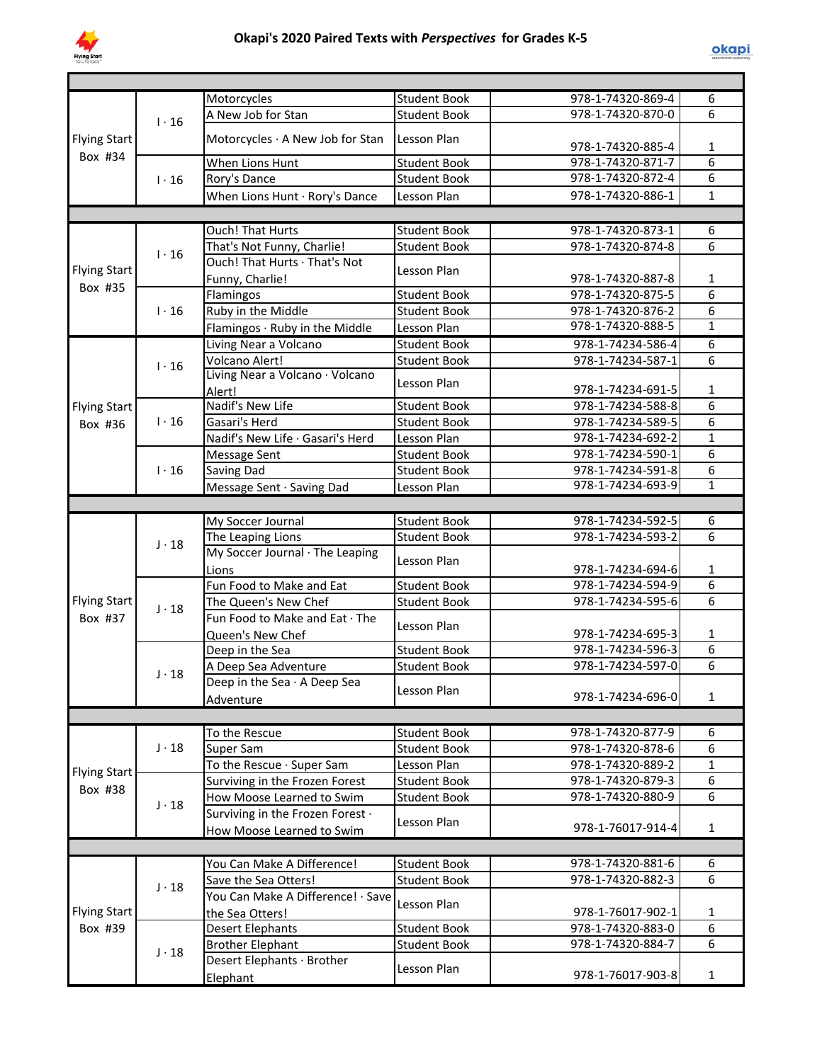

|                     |              | Motorcycles                       | Student Book        | 978-1-74320-869-4 | 6                              |
|---------------------|--------------|-----------------------------------|---------------------|-------------------|--------------------------------|
|                     | $1 \cdot 16$ | A New Job for Stan                | <b>Student Book</b> | 978-1-74320-870-0 | 6                              |
|                     |              |                                   |                     |                   |                                |
| <b>Flying Start</b> |              | Motorcycles · A New Job for Stan  | Lesson Plan         | 978-1-74320-885-4 | 1                              |
| Box #34             |              | When Lions Hunt                   | <b>Student Book</b> | 978-1-74320-871-7 | $\overline{6}$                 |
|                     | $1 \cdot 16$ | Rory's Dance                      | <b>Student Book</b> | 978-1-74320-872-4 | $\overline{6}$                 |
|                     |              | When Lions Hunt · Rory's Dance    | Lesson Plan         | 978-1-74320-886-1 | $\mathbf{1}$                   |
|                     |              |                                   |                     |                   |                                |
|                     |              | <b>Ouch! That Hurts</b>           | <b>Student Book</b> | 978-1-74320-873-1 | 6                              |
|                     |              |                                   | <b>Student Book</b> |                   | 6                              |
| <b>Flying Start</b> | $1 \cdot 16$ | That's Not Funny, Charlie!        |                     | 978-1-74320-874-8 |                                |
|                     |              | Ouch! That Hurts · That's Not     | Lesson Plan         |                   |                                |
| Box #35             |              | Funny, Charlie!                   |                     | 978-1-74320-887-8 | 1                              |
|                     |              | Flamingos                         | <b>Student Book</b> | 978-1-74320-875-5 | $\overline{6}$                 |
|                     | $1 \cdot 16$ | Ruby in the Middle                | <b>Student Book</b> | 978-1-74320-876-2 | 6                              |
|                     |              | Flamingos · Ruby in the Middle    | Lesson Plan         | 978-1-74320-888-5 | $\overline{1}$                 |
|                     |              | Living Near a Volcano             | <b>Student Book</b> | 978-1-74234-586-4 | $\overline{6}$                 |
|                     | $1 \cdot 16$ | Volcano Alert!                    | <b>Student Book</b> | 978-1-74234-587-1 | 6                              |
|                     |              | Living Near a Volcano · Volcano   | Lesson Plan         |                   |                                |
|                     |              | Alert!                            |                     | 978-1-74234-691-5 | 1                              |
| <b>Flying Start</b> |              | Nadif's New Life                  | <b>Student Book</b> | 978-1-74234-588-8 | 6                              |
| Box #36             | $1 \cdot 16$ | Gasari's Herd                     | <b>Student Book</b> | 978-1-74234-589-5 | 6                              |
|                     |              | Nadif's New Life · Gasari's Herd  | Lesson Plan         | 978-1-74234-692-2 | $\mathbf{1}$                   |
|                     |              | <b>Message Sent</b>               | <b>Student Book</b> | 978-1-74234-590-1 | 6                              |
|                     | $1 \cdot 16$ | <b>Saving Dad</b>                 | <b>Student Book</b> | 978-1-74234-591-8 | 6                              |
|                     |              | Message Sent · Saving Dad         | Lesson Plan         | 978-1-74234-693-9 | $\mathbf{1}$                   |
|                     |              |                                   |                     |                   |                                |
|                     |              | My Soccer Journal                 | <b>Student Book</b> | 978-1-74234-592-5 | $\overline{6}$                 |
|                     |              | The Leaping Lions                 | <b>Student Book</b> | 978-1-74234-593-2 | 6                              |
|                     | $J \cdot 18$ | My Soccer Journal · The Leaping   |                     |                   |                                |
|                     |              | Lions                             | Lesson Plan         | 978-1-74234-694-6 | 1                              |
|                     |              | Fun Food to Make and Eat          | <b>Student Book</b> | 978-1-74234-594-9 | $\overline{6}$                 |
| <b>Flying Start</b> |              | The Queen's New Chef              | <b>Student Book</b> | 978-1-74234-595-6 | $\overline{6}$                 |
| Box #37             | $J \cdot 18$ | Fun Food to Make and Eat · The    |                     |                   |                                |
|                     |              |                                   | Lesson Plan         |                   |                                |
|                     |              | Queen's New Chef                  |                     | 978-1-74234-695-3 | $\mathbf{1}$<br>$\overline{6}$ |
|                     |              | Deep in the Sea                   | <b>Student Book</b> | 978-1-74234-596-3 |                                |
|                     | $J \cdot 18$ | A Deep Sea Adventure              | <b>Student Book</b> | 978-1-74234-597-0 | 6                              |
|                     |              | Deep in the Sea · A Deep Sea      | Lesson Plan         |                   |                                |
|                     |              | Adventure                         |                     | 978-1-74234-696-0 | $\mathbf{1}$                   |
|                     |              |                                   |                     |                   |                                |
|                     |              | To the Rescue                     | <b>Student Book</b> | 978-1-74320-877-9 | 6                              |
|                     | $J \cdot 18$ | Super Sam                         | <b>Student Book</b> | 978-1-74320-878-6 | $\overline{6}$                 |
| <b>Flying Start</b> |              | To the Rescue · Super Sam         | Lesson Plan         | 978-1-74320-889-2 | $\mathbf{1}$                   |
|                     |              | Surviving in the Frozen Forest    | <b>Student Book</b> | 978-1-74320-879-3 | 6                              |
| Box #38             |              | How Moose Learned to Swim         | <b>Student Book</b> | 978-1-74320-880-9 | $\overline{6}$                 |
|                     | $J \cdot 18$ | Surviving in the Frozen Forest .  |                     |                   |                                |
|                     |              | How Moose Learned to Swim         | Lesson Plan         | 978-1-76017-914-4 | $\mathbf{1}$                   |
|                     |              |                                   |                     |                   |                                |
|                     |              | You Can Make A Difference!        | Student Book        | 978-1-74320-881-6 | 6                              |
|                     |              | Save the Sea Otters!              | <b>Student Book</b> | 978-1-74320-882-3 | 6                              |
|                     | $J \cdot 18$ | You Can Make A Difference! · Save |                     |                   |                                |
| <b>Flying Start</b> |              |                                   | Lesson Plan         | 978-1-76017-902-1 | 1                              |
|                     |              | the Sea Otters!                   |                     | 978-1-74320-883-0 | 6                              |
| Box #39             |              | <b>Desert Elephants</b>           | <b>Student Book</b> |                   |                                |
|                     | $J \cdot 18$ | <b>Brother Elephant</b>           | <b>Student Book</b> | 978-1-74320-884-7 | 6                              |
|                     |              | Desert Elephants · Brother        | Lesson Plan         |                   |                                |
|                     |              | Elephant                          |                     | 978-1-76017-903-8 | $\mathbf{1}$                   |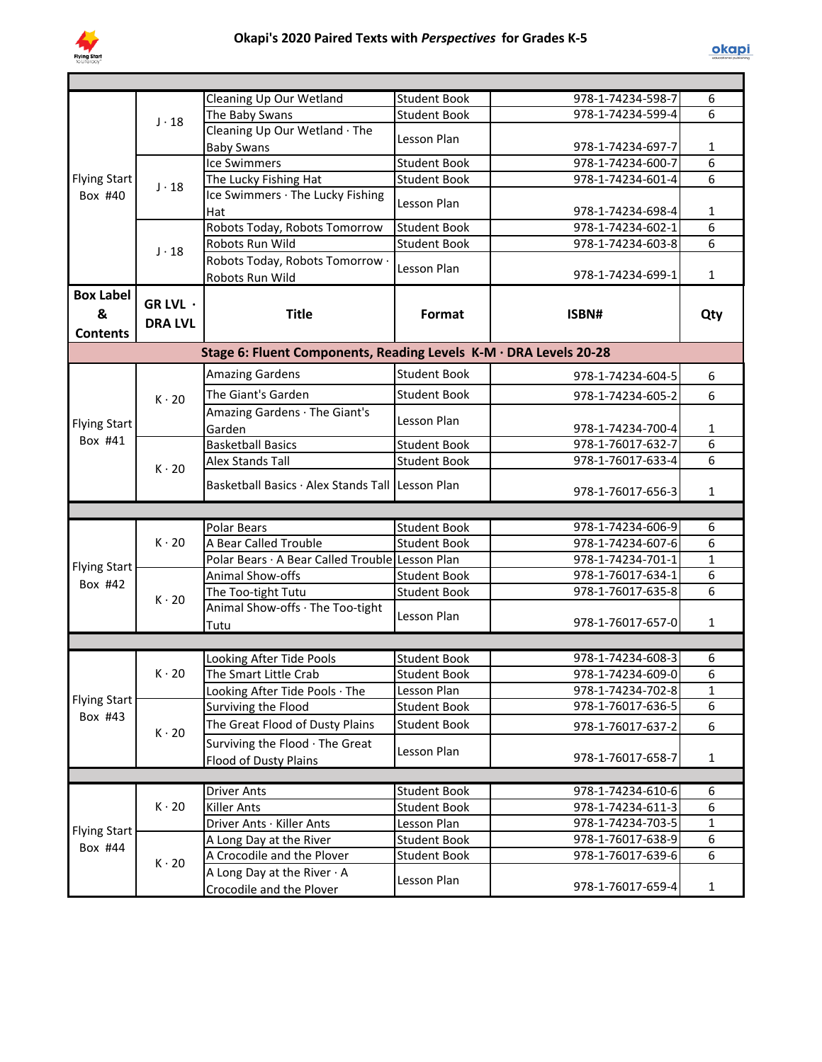

|                                |                | Cleaning Up Our Wetland                                           | <b>Student Book</b> | 978-1-74234-598-7 | 6              |
|--------------------------------|----------------|-------------------------------------------------------------------|---------------------|-------------------|----------------|
|                                | $J \cdot 18$   | The Baby Swans                                                    | <b>Student Book</b> | 978-1-74234-599-4 | 6              |
|                                |                | Cleaning Up Our Wetland · The                                     | Lesson Plan         |                   |                |
|                                |                | <b>Baby Swans</b>                                                 |                     | 978-1-74234-697-7 | 1              |
| <b>Flying Start</b><br>Box #40 |                | <b>Ice Swimmers</b>                                               | Student Book        | 978-1-74234-600-7 | $\overline{6}$ |
|                                | $J \cdot 18$   | The Lucky Fishing Hat                                             | <b>Student Book</b> | 978-1-74234-601-4 | 6              |
|                                |                | Ice Swimmers · The Lucky Fishing                                  |                     |                   |                |
|                                |                | Hat                                                               | Lesson Plan         | 978-1-74234-698-4 | 1              |
|                                |                | Robots Today, Robots Tomorrow                                     | <b>Student Book</b> | 978-1-74234-602-1 | 6              |
|                                | $J \cdot 18$   | Robots Run Wild                                                   | <b>Student Book</b> | 978-1-74234-603-8 | $\overline{6}$ |
|                                |                | Robots Today, Robots Tomorrow .                                   |                     |                   |                |
|                                |                | Robots Run Wild                                                   | Lesson Plan         | 978-1-74234-699-1 | $\mathbf{1}$   |
| <b>Box Label</b>               |                |                                                                   |                     |                   |                |
| &                              | GR LVL ·       | <b>Title</b>                                                      | Format              | ISBN#             | Qty            |
| <b>Contents</b>                | <b>DRA LVL</b> |                                                                   |                     |                   |                |
|                                |                |                                                                   |                     |                   |                |
|                                |                | Stage 6: Fluent Components, Reading Levels K-M · DRA Levels 20-28 |                     |                   |                |
|                                |                | <b>Amazing Gardens</b>                                            | <b>Student Book</b> | 978-1-74234-604-5 | 6              |
| <b>Flying Start</b><br>Box #41 | $K \cdot 20$   | The Giant's Garden                                                | <b>Student Book</b> | 978-1-74234-605-2 | 6              |
|                                |                | Amazing Gardens · The Giant's                                     |                     |                   |                |
|                                |                | Garden                                                            | Lesson Plan         | 978-1-74234-700-4 | 1              |
|                                | $K \cdot 20$   | <b>Basketball Basics</b>                                          | <b>Student Book</b> | 978-1-76017-632-7 | 6              |
|                                |                | <b>Alex Stands Tall</b>                                           | <b>Student Book</b> | 978-1-76017-633-4 | 6              |
|                                |                |                                                                   |                     |                   |                |
|                                |                | Basketball Basics · Alex Stands Tall Lesson Plan                  |                     | 978-1-76017-656-3 | $\mathbf{1}$   |
|                                |                |                                                                   |                     |                   |                |
|                                |                | <b>Polar Bears</b>                                                | <b>Student Book</b> | 978-1-74234-606-9 | 6              |
|                                | $K \cdot 20$   | A Bear Called Trouble                                             | <b>Student Book</b> | 978-1-74234-607-6 | 6              |
|                                |                | Polar Bears · A Bear Called Trouble Lesson Plan                   |                     | 978-1-74234-701-1 | $\mathbf{1}$   |
| <b>Flying Start</b>            |                | Animal Show-offs                                                  | <b>Student Book</b> | 978-1-76017-634-1 | 6              |
| Box #42                        |                | The Too-tight Tutu                                                | <b>Student Book</b> | 978-1-76017-635-8 | 6              |
|                                | $K \cdot 20$   | Animal Show-offs · The Too-tight                                  |                     |                   |                |
|                                |                | Tutu                                                              | Lesson Plan         | 978-1-76017-657-0 | 1              |
|                                |                |                                                                   |                     |                   |                |
|                                |                |                                                                   | <b>Student Book</b> | 978-1-74234-608-3 | 6              |
|                                | $K \cdot 20$   | Looking After Tide Pools<br>The Smart Little Crab                 | <b>Student Book</b> | 978-1-74234-609-0 | 6              |
|                                |                | Looking After Tide Pools · The                                    | Lesson Plan         | 978-1-74234-702-8 | 1              |
| <b>Flying Start</b>            |                | Surviving the Flood                                               | <b>Student Book</b> | 978-1-76017-636-5 | 6              |
| Box #43                        |                |                                                                   |                     |                   |                |
|                                | $K \cdot 20$   | The Great Flood of Dusty Plains                                   | <b>Student Book</b> | 978-1-76017-637-2 | 6              |
|                                |                | Surviving the Flood · The Great                                   | Lesson Plan         |                   |                |
|                                |                | Flood of Dusty Plains                                             |                     | 978-1-76017-658-7 | $\mathbf{1}$   |
|                                |                |                                                                   |                     |                   |                |
|                                |                | <b>Driver Ants</b>                                                | <b>Student Book</b> | 978-1-74234-610-6 | 6              |
|                                | $K \cdot 20$   | <b>Killer Ants</b>                                                | <b>Student Book</b> | 978-1-74234-611-3 | 6              |
| <b>Flying Start</b>            |                | Driver Ants · Killer Ants                                         | Lesson Plan         | 978-1-74234-703-5 | $\mathbf{1}$   |
| Box #44                        |                | A Long Day at the River                                           | <b>Student Book</b> | 978-1-76017-638-9 | 6              |
|                                | $K \cdot 20$   | A Crocodile and the Plover                                        | <b>Student Book</b> | 978-1-76017-639-6 | 6              |
|                                |                | A Long Day at the River $\cdot$ A                                 | Lesson Plan         |                   |                |
|                                |                | Crocodile and the Plover                                          |                     | 978-1-76017-659-4 | $\mathbf{1}$   |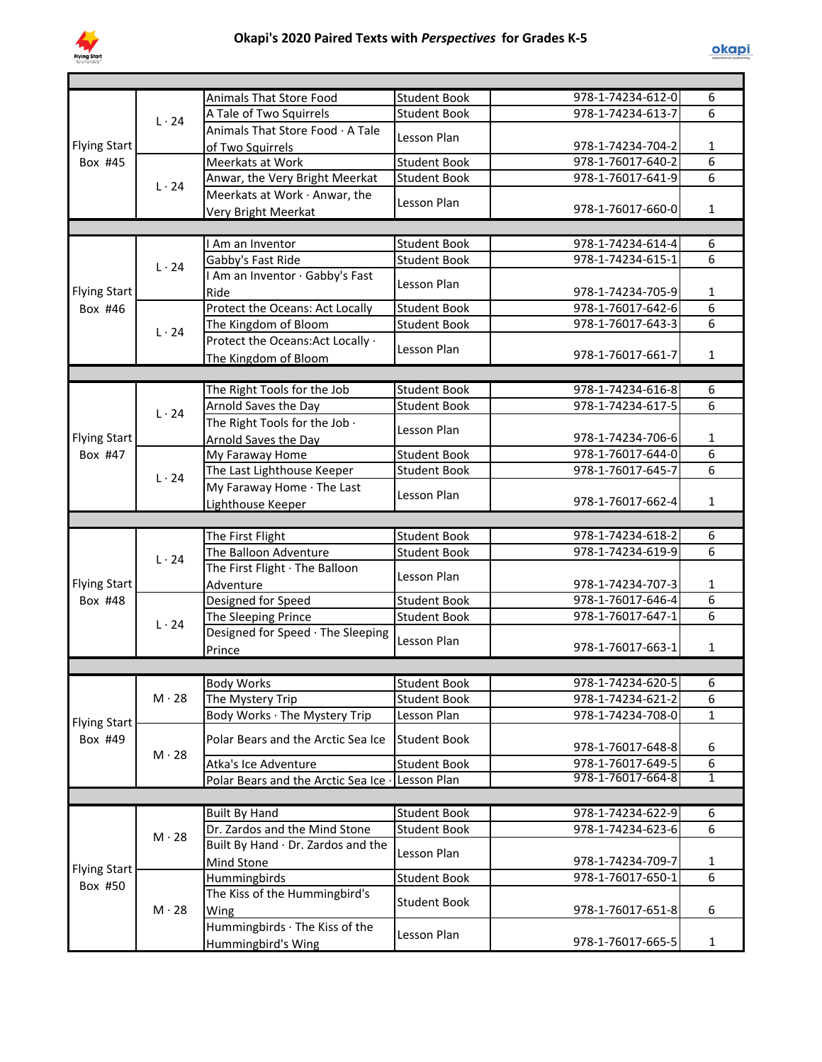

|                     |              | <b>Animals That Store Food</b>       | <b>Student Book</b> | 978-1-74234-612-0 | 6              |
|---------------------|--------------|--------------------------------------|---------------------|-------------------|----------------|
|                     | $L \cdot 24$ | A Tale of Two Squirrels              | <b>Student Book</b> | 978-1-74234-613-7 | $\overline{6}$ |
|                     |              | Animals That Store Food · A Tale     | Lesson Plan         |                   |                |
| <b>Flying Start</b> |              | of Two Squirrels                     |                     | 978-1-74234-704-2 | 1              |
| Box #45             |              | Meerkats at Work                     | <b>Student Book</b> | 978-1-76017-640-2 | 6              |
|                     | $L \cdot 24$ | Anwar, the Very Bright Meerkat       | <b>Student Book</b> | 978-1-76017-641-9 | 6              |
|                     |              | Meerkats at Work · Anwar, the        | Lesson Plan         |                   |                |
|                     |              | <b>Very Bright Meerkat</b>           |                     | 978-1-76017-660-0 | $\mathbf{1}$   |
|                     |              |                                      |                     |                   |                |
|                     |              | I Am an Inventor                     | <b>Student Book</b> | 978-1-74234-614-4 | 6              |
|                     | $L \cdot 24$ | Gabby's Fast Ride                    | <b>Student Book</b> | 978-1-74234-615-1 | 6              |
|                     |              | I Am an Inventor · Gabby's Fast      |                     |                   |                |
| <b>Flying Start</b> |              | Ride                                 | Lesson Plan         | 978-1-74234-705-9 | $\mathbf{1}$   |
| Box #46             |              | Protect the Oceans: Act Locally      | <b>Student Book</b> | 978-1-76017-642-6 | 6              |
|                     |              | The Kingdom of Bloom                 | <b>Student Book</b> | 978-1-76017-643-3 | 6              |
|                     | $L \cdot 24$ | Protect the Oceans: Act Locally ·    |                     |                   |                |
|                     |              | The Kingdom of Bloom                 | Lesson Plan         | 978-1-76017-661-7 | $\mathbf{1}$   |
|                     |              |                                      |                     |                   |                |
|                     |              | The Right Tools for the Job          | <b>Student Book</b> | 978-1-74234-616-8 | 6              |
|                     | $L \cdot 24$ | Arnold Saves the Day                 | <b>Student Book</b> | 978-1-74234-617-5 | 6              |
|                     |              | The Right Tools for the Job .        |                     |                   |                |
| <b>Flying Start</b> |              | Arnold Saves the Day                 | Lesson Plan         | 978-1-74234-706-6 | 1              |
| Box #47             |              | My Faraway Home                      | <b>Student Book</b> | 978-1-76017-644-0 | 6              |
|                     | $L \cdot 24$ | The Last Lighthouse Keeper           | <b>Student Book</b> | 978-1-76017-645-7 | 6              |
|                     |              | My Faraway Home · The Last           |                     |                   |                |
|                     |              | Lighthouse Keeper                    | Lesson Plan         | 978-1-76017-662-4 | $\mathbf{1}$   |
|                     |              |                                      |                     |                   |                |
|                     |              | The First Flight                     | <b>Student Book</b> | 978-1-74234-618-2 | 6              |
|                     | $L \cdot 24$ | The Balloon Adventure                | <b>Student Book</b> | 978-1-74234-619-9 | 6              |
|                     |              | The First Flight · The Balloon       |                     |                   |                |
| <b>Flying Start</b> |              | Adventure                            | Lesson Plan         | 978-1-74234-707-3 | $\mathbf{1}$   |
| Box #48             |              | Designed for Speed                   | <b>Student Book</b> | 978-1-76017-646-4 | 6              |
|                     | $L \cdot 24$ | The Sleeping Prince                  | <b>Student Book</b> | 978-1-76017-647-1 | 6              |
|                     |              | Designed for Speed · The Sleeping    |                     |                   |                |
|                     |              | Prince                               | Lesson Plan         | 978-1-76017-663-1 | 1              |
|                     |              |                                      |                     |                   |                |
|                     |              | <b>Body Works</b>                    | Student Book        | 978-1-74234-620-5 | ь              |
|                     | $M \cdot 28$ | The Mystery Trip                     | <b>Student Book</b> | 978-1-74234-621-2 | 6              |
|                     |              | Body Works · The Mystery Trip        | Lesson Plan         | 978-1-74234-708-0 | 1              |
| <b>Flying Start</b> |              |                                      |                     |                   |                |
| Box #49             |              | Polar Bears and the Arctic Sea Ice   | <b>Student Book</b> | 978-1-76017-648-8 | 6              |
|                     | $M \cdot 28$ | Atka's Ice Adventure                 | <b>Student Book</b> | 978-1-76017-649-5 | 6              |
|                     |              | Polar Bears and the Arctic Sea Ice · | Lesson Plan         | 978-1-76017-664-8 | $\overline{1}$ |
|                     |              |                                      |                     |                   |                |
|                     |              | <b>Built By Hand</b>                 | <b>Student Book</b> | 978-1-74234-622-9 | 6              |
|                     |              | Dr. Zardos and the Mind Stone        | <b>Student Book</b> | 978-1-74234-623-6 | 6              |
|                     | $M \cdot 28$ | Built By Hand · Dr. Zardos and the   |                     |                   |                |
|                     |              | Mind Stone                           | Lesson Plan         | 978-1-74234-709-7 | 1              |
| <b>Flying Start</b> |              | Hummingbirds                         | <b>Student Book</b> | 978-1-76017-650-1 | $\overline{6}$ |
| Box #50             |              | The Kiss of the Hummingbird's        |                     |                   |                |
|                     | $M \cdot 28$ | Wing                                 | <b>Student Book</b> | 978-1-76017-651-8 | 6              |
|                     |              | Hummingbirds · The Kiss of the       | Lesson Plan         |                   |                |
|                     |              |                                      |                     |                   |                |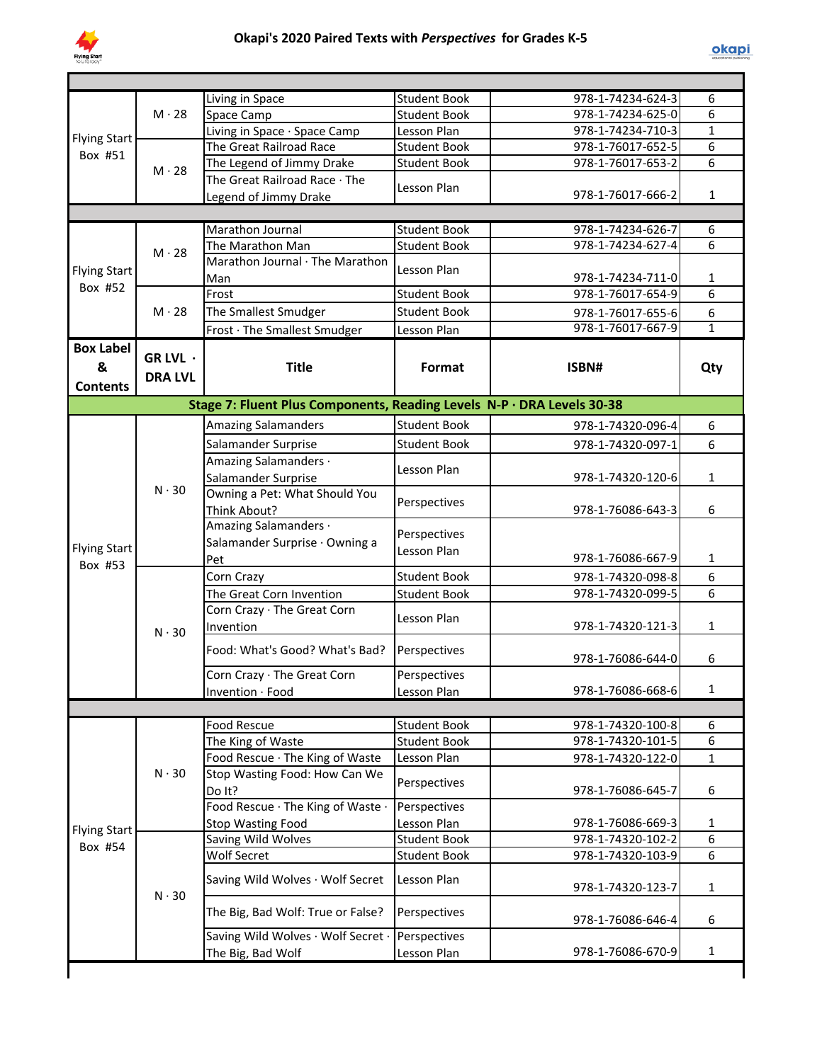

|                     |                | Living in Space                                                        | <b>Student Book</b>         | 978-1-74234-624-3 | 6            |
|---------------------|----------------|------------------------------------------------------------------------|-----------------------------|-------------------|--------------|
|                     | $M \cdot 28$   | Space Camp                                                             | <b>Student Book</b>         | 978-1-74234-625-0 | 6            |
| <b>Flying Start</b> |                | Living in Space · Space Camp                                           | Lesson Plan                 | 978-1-74234-710-3 | $\mathbf{1}$ |
| Box #51             |                | The Great Railroad Race                                                | <b>Student Book</b>         | 978-1-76017-652-5 | 6            |
|                     | $M \cdot 28$   | The Legend of Jimmy Drake                                              | <b>Student Book</b>         | 978-1-76017-653-2 | 6            |
|                     |                | The Great Railroad Race · The                                          | Lesson Plan                 |                   |              |
|                     |                | Legend of Jimmy Drake                                                  |                             | 978-1-76017-666-2 | $\mathbf{1}$ |
|                     |                |                                                                        |                             |                   |              |
|                     |                | Marathon Journal                                                       | Student Book                | 978-1-74234-626-7 | 6            |
|                     | $M \cdot 28$   | The Marathon Man                                                       | Student Book                | 978-1-74234-627-4 | 6            |
| <b>Flying Start</b> |                | Marathon Journal · The Marathon                                        | Lesson Plan                 |                   |              |
| Box #52             |                | Man                                                                    |                             | 978-1-74234-711-0 | 1            |
|                     |                | Frost                                                                  | <b>Student Book</b>         | 978-1-76017-654-9 | 6            |
|                     | $M \cdot 28$   | The Smallest Smudger                                                   | <b>Student Book</b>         | 978-1-76017-655-6 | 6            |
|                     |                | Frost · The Smallest Smudger                                           | Lesson Plan                 | 978-1-76017-667-9 | $\mathbf{1}$ |
| <b>Box Label</b>    |                |                                                                        |                             |                   |              |
| &                   | GR LVL $\cdot$ | <b>Title</b>                                                           | Format                      | ISBN#             | Qty          |
|                     | <b>DRA LVL</b> |                                                                        |                             |                   |              |
| <b>Contents</b>     |                |                                                                        |                             |                   |              |
|                     |                | Stage 7: Fluent Plus Components, Reading Levels N-P · DRA Levels 30-38 |                             |                   |              |
|                     |                | <b>Amazing Salamanders</b>                                             | <b>Student Book</b>         | 978-1-74320-096-4 | 6            |
|                     |                | Salamander Surprise                                                    | <b>Student Book</b>         | 978-1-74320-097-1 | 6            |
|                     |                | Amazing Salamanders ·                                                  | Lesson Plan                 |                   |              |
|                     | $N \cdot 30$   | Salamander Surprise                                                    |                             | 978-1-74320-120-6 | $\mathbf{1}$ |
|                     |                | Owning a Pet: What Should You                                          | Perspectives                |                   |              |
|                     |                | Think About?                                                           |                             | 978-1-76086-643-3 | 6            |
|                     |                | Amazing Salamanders ·                                                  | Perspectives                |                   |              |
| <b>Flying Start</b> |                | Salamander Surprise · Owning a                                         | Lesson Plan                 |                   |              |
| Box #53             |                | Pet                                                                    |                             | 978-1-76086-667-9 | 1            |
|                     | $N \cdot 30$   | Corn Crazy                                                             | <b>Student Book</b>         | 978-1-74320-098-8 | 6            |
|                     |                | The Great Corn Invention                                               | <b>Student Book</b>         | 978-1-74320-099-5 | 6            |
|                     |                | Corn Crazy · The Great Corn                                            | Lesson Plan                 |                   |              |
|                     |                | Invention                                                              |                             | 978-1-74320-121-3 | 1            |
|                     |                | Food: What's Good? What's Bad?                                         | Perspectives                |                   |              |
|                     |                |                                                                        |                             | 978-1-76086-644-0 | 6            |
|                     |                | Corn Crazy · The Great Corn                                            | Perspectives                |                   |              |
|                     |                | Invention · Food                                                       | Lesson Plan                 | 978-1-76086-668-6 | $\mathbf{1}$ |
|                     |                |                                                                        |                             |                   |              |
|                     |                | Food Rescue                                                            | <b>Student Book</b>         | 978-1-74320-100-8 | 6            |
|                     |                | The King of Waste                                                      | <b>Student Book</b>         | 978-1-74320-101-5 | 6            |
|                     |                | Food Rescue · The King of Waste                                        | Lesson Plan                 | 978-1-74320-122-0 | 1            |
|                     | $N \cdot 30$   | Stop Wasting Food: How Can We                                          | Perspectives                |                   |              |
|                     |                | Do It?                                                                 |                             | 978-1-76086-645-7 | 6            |
|                     |                | Food Rescue · The King of Waste ·                                      | Perspectives                |                   |              |
| <b>Flying Start</b> |                | <b>Stop Wasting Food</b>                                               | Lesson Plan                 | 978-1-76086-669-3 | 1            |
| Box #54             |                | Saving Wild Wolves                                                     | <b>Student Book</b>         | 978-1-74320-102-2 | 6            |
|                     |                | Wolf Secret                                                            | <b>Student Book</b>         | 978-1-74320-103-9 | 6            |
|                     |                | Saving Wild Wolves · Wolf Secret                                       | Lesson Plan                 |                   |              |
|                     | $N \cdot 30$   |                                                                        |                             | 978-1-74320-123-7 | 1            |
|                     |                |                                                                        |                             |                   |              |
|                     |                | The Big, Bad Wolf: True or False?                                      | Perspectives                |                   |              |
|                     |                |                                                                        |                             | 978-1-76086-646-4 | 6            |
|                     |                | Saving Wild Wolves · Wolf Secret ·<br>The Big, Bad Wolf                | Perspectives<br>Lesson Plan | 978-1-76086-670-9 | $\mathbf{1}$ |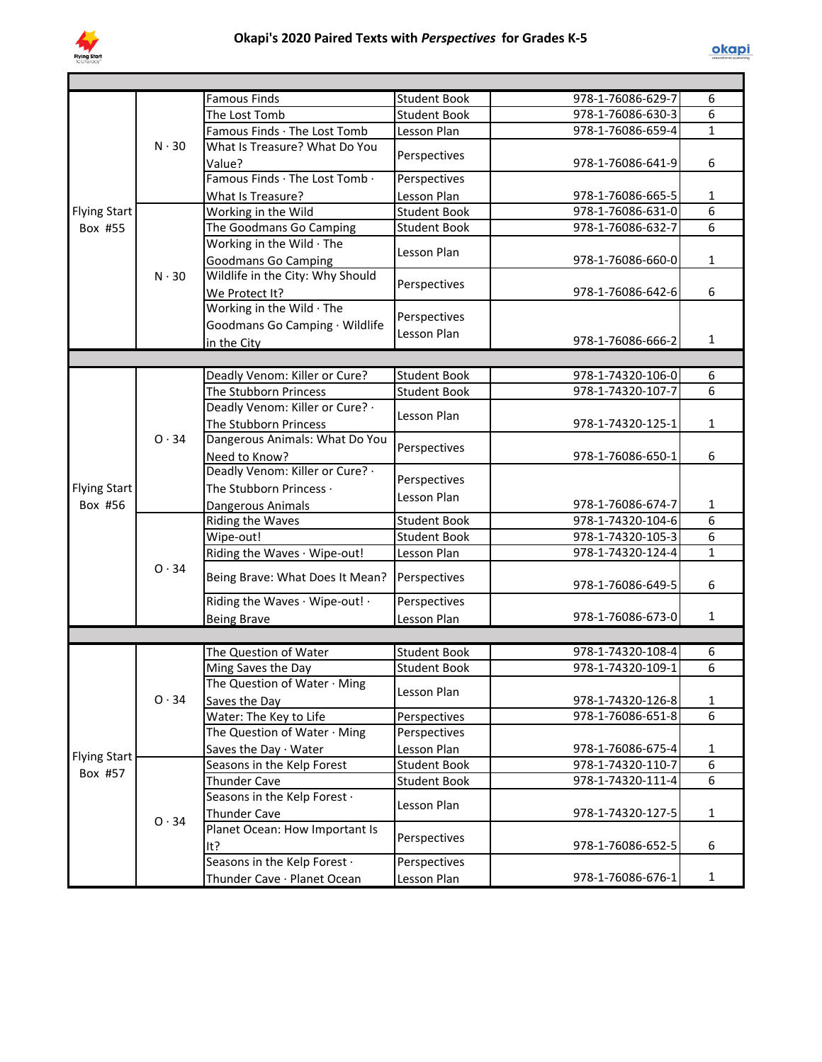

| 6<br>6<br>The Lost Tomb<br><b>Student Book</b><br>978-1-76086-630-3<br>$\mathbf{1}$<br>Famous Finds · The Lost Tomb<br>978-1-76086-659-4<br>Lesson Plan<br>$N \cdot 30$<br>What Is Treasure? What Do You<br>Perspectives<br>978-1-76086-641-9<br>6<br>Value?<br>Famous Finds · The Lost Tomb ·<br>Perspectives<br>Lesson Plan<br>978-1-76086-665-5<br>What Is Treasure?<br>1<br>6<br>978-1-76086-631-0<br><b>Flying Start</b><br>Working in the Wild<br><b>Student Book</b><br>6<br>Box #55<br>The Goodmans Go Camping<br>978-1-76086-632-7<br><b>Student Book</b><br>Working in the Wild · The<br>Lesson Plan<br>978-1-76086-660-0<br><b>Goodmans Go Camping</b><br>$\mathbf{1}$<br>Wildlife in the City: Why Should<br>$N \cdot 30$<br>Perspectives<br>978-1-76086-642-6<br>6<br>We Protect It?<br>Working in the Wild · The<br>Perspectives<br>Goodmans Go Camping · Wildlife<br>Lesson Plan<br>978-1-76086-666-2<br>1<br>in the City<br>Deadly Venom: Killer or Cure?<br><b>Student Book</b><br>978-1-74320-106-0<br>6<br>The Stubborn Princess<br><b>Student Book</b><br>978-1-74320-107-7<br>6<br>Deadly Venom: Killer or Cure? .<br>Lesson Plan<br>978-1-74320-125-1<br>$\mathbf{1}$<br>The Stubborn Princess<br>Dangerous Animals: What Do You<br>0.34<br>Perspectives<br>978-1-76086-650-1<br>6<br>Need to Know?<br>Deadly Venom: Killer or Cure? .<br>Perspectives<br>The Stubborn Princess ·<br><b>Flying Start</b><br>Lesson Plan<br>Box #56<br>978-1-76086-674-7<br>1<br>Dangerous Animals<br>6<br>978-1-74320-104-6<br>Riding the Waves<br><b>Student Book</b><br>6<br>Wipe-out!<br><b>Student Book</b><br>978-1-74320-105-3<br>$\mathbf{1}$<br>978-1-74320-124-4<br>Riding the Waves · Wipe-out!<br>Lesson Plan<br>0.34<br>Being Brave: What Does It Mean?<br>Perspectives<br>978-1-76086-649-5<br>6<br>Riding the Waves · Wipe-out! ·<br>Perspectives<br>$\mathbf{1}$<br>978-1-76086-673-0<br>Lesson Plan<br><b>Being Brave</b><br><b>Student Book</b><br>978-1-74320-108-4<br>The Question of Water<br>6<br>6<br>978-1-74320-109-1<br><b>Student Book</b><br>Ming Saves the Day<br>The Question of Water · Ming<br>Lesson Plan<br>0.34<br>978-1-74320-126-8<br>1<br>Saves the Day<br>$\overline{6}$<br>Water: The Key to Life<br>978-1-76086-651-8<br>Perspectives<br>The Question of Water · Ming<br>Perspectives<br>978-1-76086-675-4<br>$\mathbf{1}$<br>Saves the Day · Water<br>Lesson Plan<br><b>Flying Start</b><br>6<br><b>Student Book</b><br>978-1-74320-110-7<br>Seasons in the Kelp Forest<br>Box #57<br>6<br>978-1-74320-111-4<br><b>Thunder Cave</b><br><b>Student Book</b><br>Seasons in the Kelp Forest .<br>Lesson Plan<br><b>Thunder Cave</b><br>978-1-74320-127-5<br>$\mathbf{1}$<br>$O \cdot 34$<br>Planet Ocean: How Important Is<br>Perspectives<br>6<br>978-1-76086-652-5<br>lt?<br>Seasons in the Kelp Forest .<br>Perspectives<br>$\mathbf{1}$ |  |  |                             |                     |                   |  |
|-----------------------------------------------------------------------------------------------------------------------------------------------------------------------------------------------------------------------------------------------------------------------------------------------------------------------------------------------------------------------------------------------------------------------------------------------------------------------------------------------------------------------------------------------------------------------------------------------------------------------------------------------------------------------------------------------------------------------------------------------------------------------------------------------------------------------------------------------------------------------------------------------------------------------------------------------------------------------------------------------------------------------------------------------------------------------------------------------------------------------------------------------------------------------------------------------------------------------------------------------------------------------------------------------------------------------------------------------------------------------------------------------------------------------------------------------------------------------------------------------------------------------------------------------------------------------------------------------------------------------------------------------------------------------------------------------------------------------------------------------------------------------------------------------------------------------------------------------------------------------------------------------------------------------------------------------------------------------------------------------------------------------------------------------------------------------------------------------------------------------------------------------------------------------------------------------------------------------------------------------------------------------------------------------------------------------------------------------------------------------------------------------------------------------------------------------------------------------------------------------------------------------------------------------------------------------------------------------------------------------------------------------------------------------------------------------------------------------------------------------------------------------------------------------------------------------------------------------------------------------------------------|--|--|-----------------------------|---------------------|-------------------|--|
|                                                                                                                                                                                                                                                                                                                                                                                                                                                                                                                                                                                                                                                                                                                                                                                                                                                                                                                                                                                                                                                                                                                                                                                                                                                                                                                                                                                                                                                                                                                                                                                                                                                                                                                                                                                                                                                                                                                                                                                                                                                                                                                                                                                                                                                                                                                                                                                                                                                                                                                                                                                                                                                                                                                                                                                                                                                                                         |  |  | <b>Famous Finds</b>         | <b>Student Book</b> | 978-1-76086-629-7 |  |
|                                                                                                                                                                                                                                                                                                                                                                                                                                                                                                                                                                                                                                                                                                                                                                                                                                                                                                                                                                                                                                                                                                                                                                                                                                                                                                                                                                                                                                                                                                                                                                                                                                                                                                                                                                                                                                                                                                                                                                                                                                                                                                                                                                                                                                                                                                                                                                                                                                                                                                                                                                                                                                                                                                                                                                                                                                                                                         |  |  |                             |                     |                   |  |
|                                                                                                                                                                                                                                                                                                                                                                                                                                                                                                                                                                                                                                                                                                                                                                                                                                                                                                                                                                                                                                                                                                                                                                                                                                                                                                                                                                                                                                                                                                                                                                                                                                                                                                                                                                                                                                                                                                                                                                                                                                                                                                                                                                                                                                                                                                                                                                                                                                                                                                                                                                                                                                                                                                                                                                                                                                                                                         |  |  |                             |                     |                   |  |
|                                                                                                                                                                                                                                                                                                                                                                                                                                                                                                                                                                                                                                                                                                                                                                                                                                                                                                                                                                                                                                                                                                                                                                                                                                                                                                                                                                                                                                                                                                                                                                                                                                                                                                                                                                                                                                                                                                                                                                                                                                                                                                                                                                                                                                                                                                                                                                                                                                                                                                                                                                                                                                                                                                                                                                                                                                                                                         |  |  |                             |                     |                   |  |
|                                                                                                                                                                                                                                                                                                                                                                                                                                                                                                                                                                                                                                                                                                                                                                                                                                                                                                                                                                                                                                                                                                                                                                                                                                                                                                                                                                                                                                                                                                                                                                                                                                                                                                                                                                                                                                                                                                                                                                                                                                                                                                                                                                                                                                                                                                                                                                                                                                                                                                                                                                                                                                                                                                                                                                                                                                                                                         |  |  |                             |                     |                   |  |
|                                                                                                                                                                                                                                                                                                                                                                                                                                                                                                                                                                                                                                                                                                                                                                                                                                                                                                                                                                                                                                                                                                                                                                                                                                                                                                                                                                                                                                                                                                                                                                                                                                                                                                                                                                                                                                                                                                                                                                                                                                                                                                                                                                                                                                                                                                                                                                                                                                                                                                                                                                                                                                                                                                                                                                                                                                                                                         |  |  |                             |                     |                   |  |
|                                                                                                                                                                                                                                                                                                                                                                                                                                                                                                                                                                                                                                                                                                                                                                                                                                                                                                                                                                                                                                                                                                                                                                                                                                                                                                                                                                                                                                                                                                                                                                                                                                                                                                                                                                                                                                                                                                                                                                                                                                                                                                                                                                                                                                                                                                                                                                                                                                                                                                                                                                                                                                                                                                                                                                                                                                                                                         |  |  |                             |                     |                   |  |
|                                                                                                                                                                                                                                                                                                                                                                                                                                                                                                                                                                                                                                                                                                                                                                                                                                                                                                                                                                                                                                                                                                                                                                                                                                                                                                                                                                                                                                                                                                                                                                                                                                                                                                                                                                                                                                                                                                                                                                                                                                                                                                                                                                                                                                                                                                                                                                                                                                                                                                                                                                                                                                                                                                                                                                                                                                                                                         |  |  |                             |                     |                   |  |
|                                                                                                                                                                                                                                                                                                                                                                                                                                                                                                                                                                                                                                                                                                                                                                                                                                                                                                                                                                                                                                                                                                                                                                                                                                                                                                                                                                                                                                                                                                                                                                                                                                                                                                                                                                                                                                                                                                                                                                                                                                                                                                                                                                                                                                                                                                                                                                                                                                                                                                                                                                                                                                                                                                                                                                                                                                                                                         |  |  |                             |                     |                   |  |
|                                                                                                                                                                                                                                                                                                                                                                                                                                                                                                                                                                                                                                                                                                                                                                                                                                                                                                                                                                                                                                                                                                                                                                                                                                                                                                                                                                                                                                                                                                                                                                                                                                                                                                                                                                                                                                                                                                                                                                                                                                                                                                                                                                                                                                                                                                                                                                                                                                                                                                                                                                                                                                                                                                                                                                                                                                                                                         |  |  |                             |                     |                   |  |
|                                                                                                                                                                                                                                                                                                                                                                                                                                                                                                                                                                                                                                                                                                                                                                                                                                                                                                                                                                                                                                                                                                                                                                                                                                                                                                                                                                                                                                                                                                                                                                                                                                                                                                                                                                                                                                                                                                                                                                                                                                                                                                                                                                                                                                                                                                                                                                                                                                                                                                                                                                                                                                                                                                                                                                                                                                                                                         |  |  |                             |                     |                   |  |
|                                                                                                                                                                                                                                                                                                                                                                                                                                                                                                                                                                                                                                                                                                                                                                                                                                                                                                                                                                                                                                                                                                                                                                                                                                                                                                                                                                                                                                                                                                                                                                                                                                                                                                                                                                                                                                                                                                                                                                                                                                                                                                                                                                                                                                                                                                                                                                                                                                                                                                                                                                                                                                                                                                                                                                                                                                                                                         |  |  |                             |                     |                   |  |
|                                                                                                                                                                                                                                                                                                                                                                                                                                                                                                                                                                                                                                                                                                                                                                                                                                                                                                                                                                                                                                                                                                                                                                                                                                                                                                                                                                                                                                                                                                                                                                                                                                                                                                                                                                                                                                                                                                                                                                                                                                                                                                                                                                                                                                                                                                                                                                                                                                                                                                                                                                                                                                                                                                                                                                                                                                                                                         |  |  |                             |                     |                   |  |
|                                                                                                                                                                                                                                                                                                                                                                                                                                                                                                                                                                                                                                                                                                                                                                                                                                                                                                                                                                                                                                                                                                                                                                                                                                                                                                                                                                                                                                                                                                                                                                                                                                                                                                                                                                                                                                                                                                                                                                                                                                                                                                                                                                                                                                                                                                                                                                                                                                                                                                                                                                                                                                                                                                                                                                                                                                                                                         |  |  |                             |                     |                   |  |
|                                                                                                                                                                                                                                                                                                                                                                                                                                                                                                                                                                                                                                                                                                                                                                                                                                                                                                                                                                                                                                                                                                                                                                                                                                                                                                                                                                                                                                                                                                                                                                                                                                                                                                                                                                                                                                                                                                                                                                                                                                                                                                                                                                                                                                                                                                                                                                                                                                                                                                                                                                                                                                                                                                                                                                                                                                                                                         |  |  |                             |                     |                   |  |
|                                                                                                                                                                                                                                                                                                                                                                                                                                                                                                                                                                                                                                                                                                                                                                                                                                                                                                                                                                                                                                                                                                                                                                                                                                                                                                                                                                                                                                                                                                                                                                                                                                                                                                                                                                                                                                                                                                                                                                                                                                                                                                                                                                                                                                                                                                                                                                                                                                                                                                                                                                                                                                                                                                                                                                                                                                                                                         |  |  |                             |                     |                   |  |
|                                                                                                                                                                                                                                                                                                                                                                                                                                                                                                                                                                                                                                                                                                                                                                                                                                                                                                                                                                                                                                                                                                                                                                                                                                                                                                                                                                                                                                                                                                                                                                                                                                                                                                                                                                                                                                                                                                                                                                                                                                                                                                                                                                                                                                                                                                                                                                                                                                                                                                                                                                                                                                                                                                                                                                                                                                                                                         |  |  |                             |                     |                   |  |
|                                                                                                                                                                                                                                                                                                                                                                                                                                                                                                                                                                                                                                                                                                                                                                                                                                                                                                                                                                                                                                                                                                                                                                                                                                                                                                                                                                                                                                                                                                                                                                                                                                                                                                                                                                                                                                                                                                                                                                                                                                                                                                                                                                                                                                                                                                                                                                                                                                                                                                                                                                                                                                                                                                                                                                                                                                                                                         |  |  |                             |                     |                   |  |
|                                                                                                                                                                                                                                                                                                                                                                                                                                                                                                                                                                                                                                                                                                                                                                                                                                                                                                                                                                                                                                                                                                                                                                                                                                                                                                                                                                                                                                                                                                                                                                                                                                                                                                                                                                                                                                                                                                                                                                                                                                                                                                                                                                                                                                                                                                                                                                                                                                                                                                                                                                                                                                                                                                                                                                                                                                                                                         |  |  |                             |                     |                   |  |
|                                                                                                                                                                                                                                                                                                                                                                                                                                                                                                                                                                                                                                                                                                                                                                                                                                                                                                                                                                                                                                                                                                                                                                                                                                                                                                                                                                                                                                                                                                                                                                                                                                                                                                                                                                                                                                                                                                                                                                                                                                                                                                                                                                                                                                                                                                                                                                                                                                                                                                                                                                                                                                                                                                                                                                                                                                                                                         |  |  |                             |                     |                   |  |
|                                                                                                                                                                                                                                                                                                                                                                                                                                                                                                                                                                                                                                                                                                                                                                                                                                                                                                                                                                                                                                                                                                                                                                                                                                                                                                                                                                                                                                                                                                                                                                                                                                                                                                                                                                                                                                                                                                                                                                                                                                                                                                                                                                                                                                                                                                                                                                                                                                                                                                                                                                                                                                                                                                                                                                                                                                                                                         |  |  |                             |                     |                   |  |
|                                                                                                                                                                                                                                                                                                                                                                                                                                                                                                                                                                                                                                                                                                                                                                                                                                                                                                                                                                                                                                                                                                                                                                                                                                                                                                                                                                                                                                                                                                                                                                                                                                                                                                                                                                                                                                                                                                                                                                                                                                                                                                                                                                                                                                                                                                                                                                                                                                                                                                                                                                                                                                                                                                                                                                                                                                                                                         |  |  |                             |                     |                   |  |
|                                                                                                                                                                                                                                                                                                                                                                                                                                                                                                                                                                                                                                                                                                                                                                                                                                                                                                                                                                                                                                                                                                                                                                                                                                                                                                                                                                                                                                                                                                                                                                                                                                                                                                                                                                                                                                                                                                                                                                                                                                                                                                                                                                                                                                                                                                                                                                                                                                                                                                                                                                                                                                                                                                                                                                                                                                                                                         |  |  |                             |                     |                   |  |
|                                                                                                                                                                                                                                                                                                                                                                                                                                                                                                                                                                                                                                                                                                                                                                                                                                                                                                                                                                                                                                                                                                                                                                                                                                                                                                                                                                                                                                                                                                                                                                                                                                                                                                                                                                                                                                                                                                                                                                                                                                                                                                                                                                                                                                                                                                                                                                                                                                                                                                                                                                                                                                                                                                                                                                                                                                                                                         |  |  |                             |                     |                   |  |
|                                                                                                                                                                                                                                                                                                                                                                                                                                                                                                                                                                                                                                                                                                                                                                                                                                                                                                                                                                                                                                                                                                                                                                                                                                                                                                                                                                                                                                                                                                                                                                                                                                                                                                                                                                                                                                                                                                                                                                                                                                                                                                                                                                                                                                                                                                                                                                                                                                                                                                                                                                                                                                                                                                                                                                                                                                                                                         |  |  |                             |                     |                   |  |
|                                                                                                                                                                                                                                                                                                                                                                                                                                                                                                                                                                                                                                                                                                                                                                                                                                                                                                                                                                                                                                                                                                                                                                                                                                                                                                                                                                                                                                                                                                                                                                                                                                                                                                                                                                                                                                                                                                                                                                                                                                                                                                                                                                                                                                                                                                                                                                                                                                                                                                                                                                                                                                                                                                                                                                                                                                                                                         |  |  |                             |                     |                   |  |
|                                                                                                                                                                                                                                                                                                                                                                                                                                                                                                                                                                                                                                                                                                                                                                                                                                                                                                                                                                                                                                                                                                                                                                                                                                                                                                                                                                                                                                                                                                                                                                                                                                                                                                                                                                                                                                                                                                                                                                                                                                                                                                                                                                                                                                                                                                                                                                                                                                                                                                                                                                                                                                                                                                                                                                                                                                                                                         |  |  |                             |                     |                   |  |
|                                                                                                                                                                                                                                                                                                                                                                                                                                                                                                                                                                                                                                                                                                                                                                                                                                                                                                                                                                                                                                                                                                                                                                                                                                                                                                                                                                                                                                                                                                                                                                                                                                                                                                                                                                                                                                                                                                                                                                                                                                                                                                                                                                                                                                                                                                                                                                                                                                                                                                                                                                                                                                                                                                                                                                                                                                                                                         |  |  |                             |                     |                   |  |
|                                                                                                                                                                                                                                                                                                                                                                                                                                                                                                                                                                                                                                                                                                                                                                                                                                                                                                                                                                                                                                                                                                                                                                                                                                                                                                                                                                                                                                                                                                                                                                                                                                                                                                                                                                                                                                                                                                                                                                                                                                                                                                                                                                                                                                                                                                                                                                                                                                                                                                                                                                                                                                                                                                                                                                                                                                                                                         |  |  |                             |                     |                   |  |
|                                                                                                                                                                                                                                                                                                                                                                                                                                                                                                                                                                                                                                                                                                                                                                                                                                                                                                                                                                                                                                                                                                                                                                                                                                                                                                                                                                                                                                                                                                                                                                                                                                                                                                                                                                                                                                                                                                                                                                                                                                                                                                                                                                                                                                                                                                                                                                                                                                                                                                                                                                                                                                                                                                                                                                                                                                                                                         |  |  |                             |                     |                   |  |
|                                                                                                                                                                                                                                                                                                                                                                                                                                                                                                                                                                                                                                                                                                                                                                                                                                                                                                                                                                                                                                                                                                                                                                                                                                                                                                                                                                                                                                                                                                                                                                                                                                                                                                                                                                                                                                                                                                                                                                                                                                                                                                                                                                                                                                                                                                                                                                                                                                                                                                                                                                                                                                                                                                                                                                                                                                                                                         |  |  |                             |                     |                   |  |
|                                                                                                                                                                                                                                                                                                                                                                                                                                                                                                                                                                                                                                                                                                                                                                                                                                                                                                                                                                                                                                                                                                                                                                                                                                                                                                                                                                                                                                                                                                                                                                                                                                                                                                                                                                                                                                                                                                                                                                                                                                                                                                                                                                                                                                                                                                                                                                                                                                                                                                                                                                                                                                                                                                                                                                                                                                                                                         |  |  |                             |                     |                   |  |
|                                                                                                                                                                                                                                                                                                                                                                                                                                                                                                                                                                                                                                                                                                                                                                                                                                                                                                                                                                                                                                                                                                                                                                                                                                                                                                                                                                                                                                                                                                                                                                                                                                                                                                                                                                                                                                                                                                                                                                                                                                                                                                                                                                                                                                                                                                                                                                                                                                                                                                                                                                                                                                                                                                                                                                                                                                                                                         |  |  |                             |                     |                   |  |
|                                                                                                                                                                                                                                                                                                                                                                                                                                                                                                                                                                                                                                                                                                                                                                                                                                                                                                                                                                                                                                                                                                                                                                                                                                                                                                                                                                                                                                                                                                                                                                                                                                                                                                                                                                                                                                                                                                                                                                                                                                                                                                                                                                                                                                                                                                                                                                                                                                                                                                                                                                                                                                                                                                                                                                                                                                                                                         |  |  |                             |                     |                   |  |
|                                                                                                                                                                                                                                                                                                                                                                                                                                                                                                                                                                                                                                                                                                                                                                                                                                                                                                                                                                                                                                                                                                                                                                                                                                                                                                                                                                                                                                                                                                                                                                                                                                                                                                                                                                                                                                                                                                                                                                                                                                                                                                                                                                                                                                                                                                                                                                                                                                                                                                                                                                                                                                                                                                                                                                                                                                                                                         |  |  |                             |                     |                   |  |
|                                                                                                                                                                                                                                                                                                                                                                                                                                                                                                                                                                                                                                                                                                                                                                                                                                                                                                                                                                                                                                                                                                                                                                                                                                                                                                                                                                                                                                                                                                                                                                                                                                                                                                                                                                                                                                                                                                                                                                                                                                                                                                                                                                                                                                                                                                                                                                                                                                                                                                                                                                                                                                                                                                                                                                                                                                                                                         |  |  |                             |                     |                   |  |
|                                                                                                                                                                                                                                                                                                                                                                                                                                                                                                                                                                                                                                                                                                                                                                                                                                                                                                                                                                                                                                                                                                                                                                                                                                                                                                                                                                                                                                                                                                                                                                                                                                                                                                                                                                                                                                                                                                                                                                                                                                                                                                                                                                                                                                                                                                                                                                                                                                                                                                                                                                                                                                                                                                                                                                                                                                                                                         |  |  |                             |                     |                   |  |
|                                                                                                                                                                                                                                                                                                                                                                                                                                                                                                                                                                                                                                                                                                                                                                                                                                                                                                                                                                                                                                                                                                                                                                                                                                                                                                                                                                                                                                                                                                                                                                                                                                                                                                                                                                                                                                                                                                                                                                                                                                                                                                                                                                                                                                                                                                                                                                                                                                                                                                                                                                                                                                                                                                                                                                                                                                                                                         |  |  |                             |                     |                   |  |
|                                                                                                                                                                                                                                                                                                                                                                                                                                                                                                                                                                                                                                                                                                                                                                                                                                                                                                                                                                                                                                                                                                                                                                                                                                                                                                                                                                                                                                                                                                                                                                                                                                                                                                                                                                                                                                                                                                                                                                                                                                                                                                                                                                                                                                                                                                                                                                                                                                                                                                                                                                                                                                                                                                                                                                                                                                                                                         |  |  |                             |                     |                   |  |
|                                                                                                                                                                                                                                                                                                                                                                                                                                                                                                                                                                                                                                                                                                                                                                                                                                                                                                                                                                                                                                                                                                                                                                                                                                                                                                                                                                                                                                                                                                                                                                                                                                                                                                                                                                                                                                                                                                                                                                                                                                                                                                                                                                                                                                                                                                                                                                                                                                                                                                                                                                                                                                                                                                                                                                                                                                                                                         |  |  |                             |                     |                   |  |
|                                                                                                                                                                                                                                                                                                                                                                                                                                                                                                                                                                                                                                                                                                                                                                                                                                                                                                                                                                                                                                                                                                                                                                                                                                                                                                                                                                                                                                                                                                                                                                                                                                                                                                                                                                                                                                                                                                                                                                                                                                                                                                                                                                                                                                                                                                                                                                                                                                                                                                                                                                                                                                                                                                                                                                                                                                                                                         |  |  |                             |                     |                   |  |
|                                                                                                                                                                                                                                                                                                                                                                                                                                                                                                                                                                                                                                                                                                                                                                                                                                                                                                                                                                                                                                                                                                                                                                                                                                                                                                                                                                                                                                                                                                                                                                                                                                                                                                                                                                                                                                                                                                                                                                                                                                                                                                                                                                                                                                                                                                                                                                                                                                                                                                                                                                                                                                                                                                                                                                                                                                                                                         |  |  |                             |                     |                   |  |
|                                                                                                                                                                                                                                                                                                                                                                                                                                                                                                                                                                                                                                                                                                                                                                                                                                                                                                                                                                                                                                                                                                                                                                                                                                                                                                                                                                                                                                                                                                                                                                                                                                                                                                                                                                                                                                                                                                                                                                                                                                                                                                                                                                                                                                                                                                                                                                                                                                                                                                                                                                                                                                                                                                                                                                                                                                                                                         |  |  |                             |                     |                   |  |
|                                                                                                                                                                                                                                                                                                                                                                                                                                                                                                                                                                                                                                                                                                                                                                                                                                                                                                                                                                                                                                                                                                                                                                                                                                                                                                                                                                                                                                                                                                                                                                                                                                                                                                                                                                                                                                                                                                                                                                                                                                                                                                                                                                                                                                                                                                                                                                                                                                                                                                                                                                                                                                                                                                                                                                                                                                                                                         |  |  |                             |                     |                   |  |
|                                                                                                                                                                                                                                                                                                                                                                                                                                                                                                                                                                                                                                                                                                                                                                                                                                                                                                                                                                                                                                                                                                                                                                                                                                                                                                                                                                                                                                                                                                                                                                                                                                                                                                                                                                                                                                                                                                                                                                                                                                                                                                                                                                                                                                                                                                                                                                                                                                                                                                                                                                                                                                                                                                                                                                                                                                                                                         |  |  |                             |                     |                   |  |
|                                                                                                                                                                                                                                                                                                                                                                                                                                                                                                                                                                                                                                                                                                                                                                                                                                                                                                                                                                                                                                                                                                                                                                                                                                                                                                                                                                                                                                                                                                                                                                                                                                                                                                                                                                                                                                                                                                                                                                                                                                                                                                                                                                                                                                                                                                                                                                                                                                                                                                                                                                                                                                                                                                                                                                                                                                                                                         |  |  |                             |                     |                   |  |
|                                                                                                                                                                                                                                                                                                                                                                                                                                                                                                                                                                                                                                                                                                                                                                                                                                                                                                                                                                                                                                                                                                                                                                                                                                                                                                                                                                                                                                                                                                                                                                                                                                                                                                                                                                                                                                                                                                                                                                                                                                                                                                                                                                                                                                                                                                                                                                                                                                                                                                                                                                                                                                                                                                                                                                                                                                                                                         |  |  |                             |                     |                   |  |
|                                                                                                                                                                                                                                                                                                                                                                                                                                                                                                                                                                                                                                                                                                                                                                                                                                                                                                                                                                                                                                                                                                                                                                                                                                                                                                                                                                                                                                                                                                                                                                                                                                                                                                                                                                                                                                                                                                                                                                                                                                                                                                                                                                                                                                                                                                                                                                                                                                                                                                                                                                                                                                                                                                                                                                                                                                                                                         |  |  |                             |                     |                   |  |
|                                                                                                                                                                                                                                                                                                                                                                                                                                                                                                                                                                                                                                                                                                                                                                                                                                                                                                                                                                                                                                                                                                                                                                                                                                                                                                                                                                                                                                                                                                                                                                                                                                                                                                                                                                                                                                                                                                                                                                                                                                                                                                                                                                                                                                                                                                                                                                                                                                                                                                                                                                                                                                                                                                                                                                                                                                                                                         |  |  |                             |                     |                   |  |
|                                                                                                                                                                                                                                                                                                                                                                                                                                                                                                                                                                                                                                                                                                                                                                                                                                                                                                                                                                                                                                                                                                                                                                                                                                                                                                                                                                                                                                                                                                                                                                                                                                                                                                                                                                                                                                                                                                                                                                                                                                                                                                                                                                                                                                                                                                                                                                                                                                                                                                                                                                                                                                                                                                                                                                                                                                                                                         |  |  | Thunder Cave · Planet Ocean | Lesson Plan         | 978-1-76086-676-1 |  |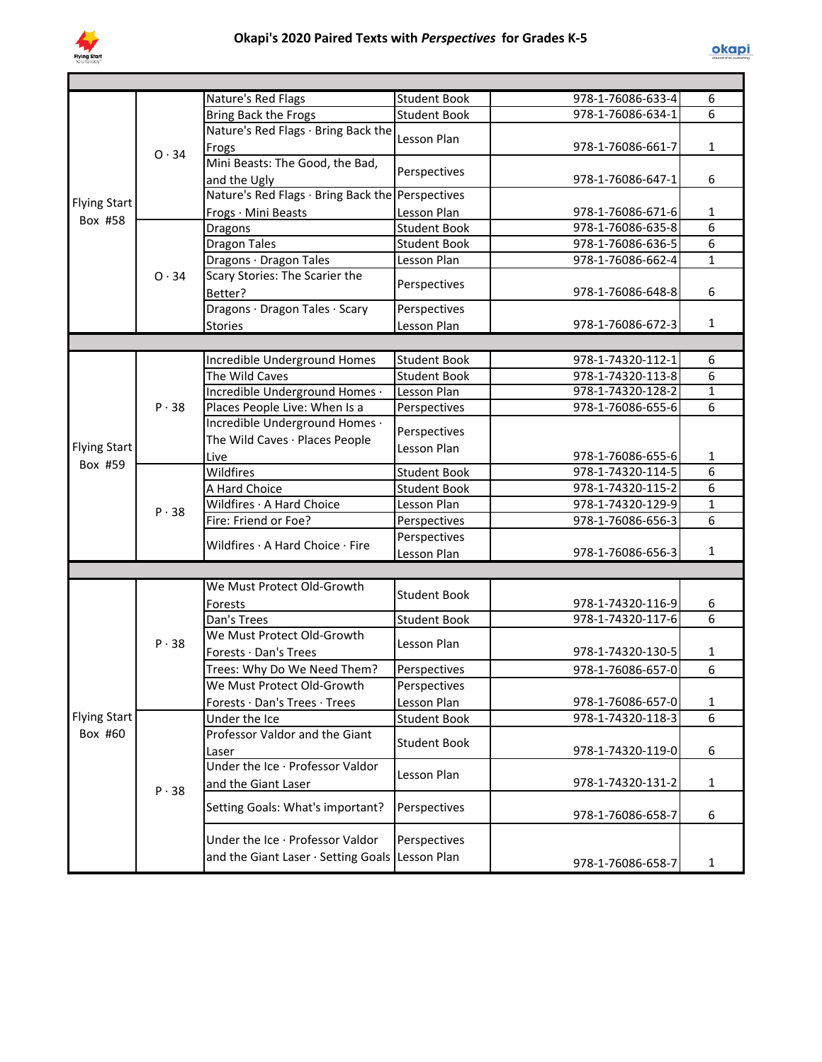

|                                |              | Nature's Red Flags                               | <b>Student Book</b> | 978-1-76086-633-4 | 6                   |
|--------------------------------|--------------|--------------------------------------------------|---------------------|-------------------|---------------------|
|                                |              | Bring Back the Frogs                             | <b>Student Book</b> | 978-1-76086-634-1 | 6                   |
|                                |              | Nature's Red Flags · Bring Back the              | Lesson Plan         |                   |                     |
|                                | 0.34         | Frogs                                            |                     | 978-1-76086-661-7 | $\mathbf{1}$        |
|                                |              | Mini Beasts: The Good, the Bad,                  | Perspectives        |                   |                     |
|                                |              | and the Ugly                                     |                     | 978-1-76086-647-1 | 6                   |
| <b>Flying Start</b>            |              | Nature's Red Flags · Bring Back the Perspectives |                     |                   |                     |
| Box #58                        |              | Frogs · Mini Beasts                              | Lesson Plan         | 978-1-76086-671-6 | 1                   |
|                                |              | Dragons                                          | <b>Student Book</b> | 978-1-76086-635-8 | $\overline{6}$      |
|                                |              | <b>Dragon Tales</b>                              | <b>Student Book</b> | 978-1-76086-636-5 | $\overline{6}$      |
|                                |              | Dragons · Dragon Tales                           | Lesson Plan         | 978-1-76086-662-4 | $\mathbf{1}$        |
|                                | $O \cdot 34$ | Scary Stories: The Scarier the                   |                     |                   |                     |
|                                |              | Better?                                          | Perspectives        | 978-1-76086-648-8 | 6                   |
|                                |              | Dragons · Dragon Tales · Scary                   | Perspectives        |                   |                     |
|                                |              | Stories                                          | Lesson Plan         | 978-1-76086-672-3 | 1                   |
|                                |              |                                                  |                     |                   |                     |
|                                |              | Incredible Underground Homes                     | <b>Student Book</b> | 978-1-74320-112-1 | 6                   |
|                                |              | The Wild Caves                                   | <b>Student Book</b> | 978-1-74320-113-8 | 6                   |
|                                |              | Incredible Underground Homes ·                   | Lesson Plan         | 978-1-74320-128-2 | $\mathbf{1}$        |
|                                | $P \cdot 38$ | Places People Live: When Is a                    | Perspectives        | 978-1-76086-655-6 | 6                   |
|                                |              | Incredible Underground Homes .                   |                     |                   |                     |
|                                |              | The Wild Caves · Places People                   | Perspectives        |                   |                     |
| <b>Flying Start</b>            |              | Live                                             | Lesson Plan         | 978-1-76086-655-6 | $\mathbf{1}$        |
| Box #59                        |              | Wildfires                                        | <b>Student Book</b> | 978-1-74320-114-5 | 6                   |
|                                |              | A Hard Choice                                    | <b>Student Book</b> | 978-1-74320-115-2 | 6                   |
|                                |              | Wildfires · A Hard Choice                        | Lesson Plan         | 978-1-74320-129-9 | $\mathbf{1}$        |
|                                | P.38         | Fire: Friend or Foe?                             | Perspectives        | 978-1-76086-656-3 | 6                   |
|                                |              |                                                  | Perspectives        |                   |                     |
|                                |              | Wildfires · A Hard Choice · Fire                 | Lesson Plan         | 978-1-76086-656-3 | $\mathbf{1}$        |
|                                |              |                                                  |                     |                   |                     |
|                                |              | We Must Protect Old-Growth                       |                     |                   |                     |
|                                |              | Forests                                          | <b>Student Book</b> | 978-1-74320-116-9 | 6                   |
|                                | $P \cdot 38$ | Dan's Trees                                      | <b>Student Book</b> | 978-1-74320-117-6 | 6                   |
|                                |              | We Must Protect Old-Growth                       |                     |                   |                     |
|                                |              | Forests · Dan's Trees                            | Lesson Plan         | 978-1-74320-130-5 | 1                   |
|                                |              | Trees: Why Do We Need Them?                      | Perspectives        | 978-1-76086-657-0 | 6                   |
|                                |              |                                                  |                     |                   |                     |
|                                |              | We Must Protect Old-Growth                       | Perspectives        |                   |                     |
| <b>Flying Start</b><br>Box #60 |              | Forests · Dan's Trees · Trees                    | Lesson Plan         | 978-1-76086-657-0 | 1<br>$\overline{6}$ |
|                                |              | Under the Ice<br>Professor Valdor and the Giant  | <b>Student Book</b> | 978-1-74320-118-3 |                     |
|                                |              |                                                  | <b>Student Book</b> | 978-1-74320-119-0 |                     |
|                                |              | Laser<br>Under the Ice · Professor Valdor        |                     |                   | 6                   |
|                                |              |                                                  | Lesson Plan         |                   |                     |
|                                | $P \cdot 38$ | and the Giant Laser                              |                     | 978-1-74320-131-2 | 1                   |
|                                |              | Setting Goals: What's important?                 | Perspectives        |                   |                     |
|                                |              |                                                  |                     | 978-1-76086-658-7 | 6                   |
|                                |              | Under the Ice · Professor Valdor                 | Perspectives        |                   |                     |
|                                |              | and the Giant Laser · Setting Goals Lesson Plan  |                     |                   |                     |
|                                |              |                                                  |                     | 978-1-76086-658-7 | 1                   |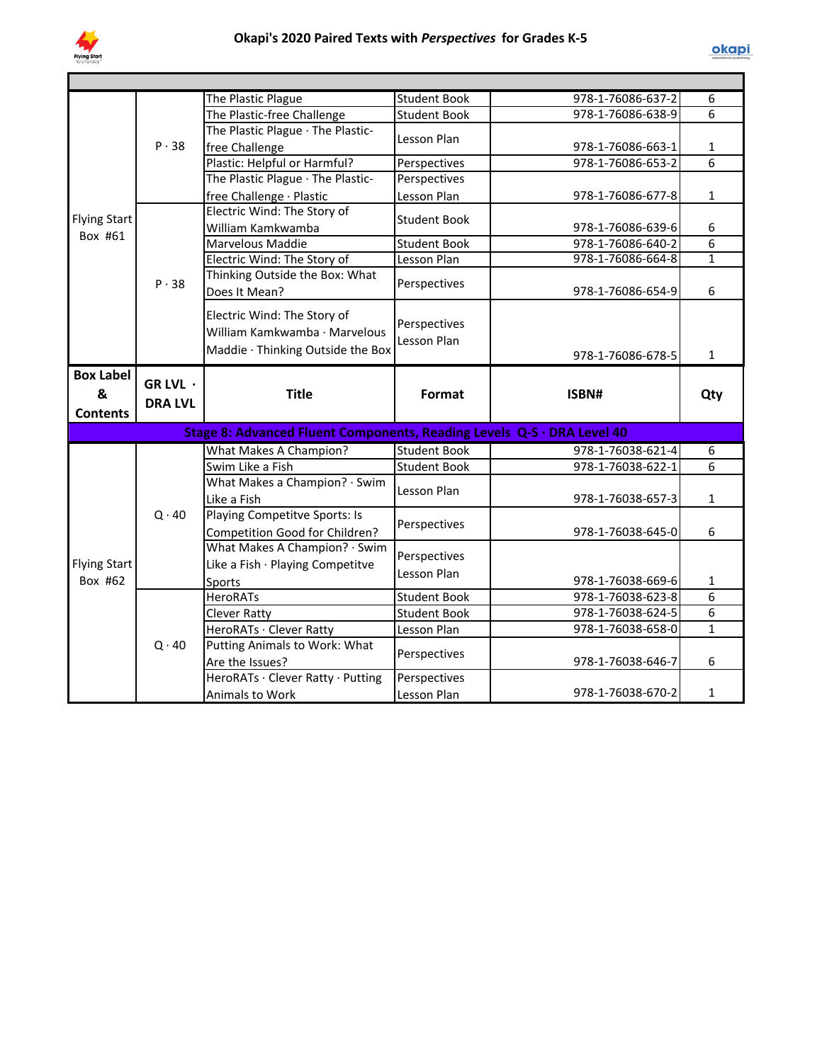

|                     |                | The Plastic Plague                                                     | <b>Student Book</b> | 978-1-76086-637-2 | 6              |  |  |  |  |  |
|---------------------|----------------|------------------------------------------------------------------------|---------------------|-------------------|----------------|--|--|--|--|--|
|                     |                | The Plastic-free Challenge                                             | <b>Student Book</b> | 978-1-76086-638-9 | 6              |  |  |  |  |  |
|                     |                | The Plastic Plague · The Plastic-                                      | Lesson Plan         |                   |                |  |  |  |  |  |
|                     | P.38           | free Challenge                                                         |                     | 978-1-76086-663-1 | $\mathbf{1}$   |  |  |  |  |  |
|                     |                | Plastic: Helpful or Harmful?                                           | Perspectives        | 978-1-76086-653-2 | $\overline{6}$ |  |  |  |  |  |
|                     |                | The Plastic Plague · The Plastic-                                      | Perspectives        |                   |                |  |  |  |  |  |
|                     |                | free Challenge · Plastic                                               | Lesson Plan         | 978-1-76086-677-8 | $\mathbf{1}$   |  |  |  |  |  |
| <b>Flying Start</b> |                | Electric Wind: The Story of                                            | <b>Student Book</b> |                   |                |  |  |  |  |  |
| Box #61             |                | William Kamkwamba                                                      |                     | 978-1-76086-639-6 | 6              |  |  |  |  |  |
|                     |                | Marvelous Maddie                                                       | <b>Student Book</b> | 978-1-76086-640-2 | $\overline{6}$ |  |  |  |  |  |
|                     |                | Electric Wind: The Story of                                            | Lesson Plan         | 978-1-76086-664-8 | $\mathbf{1}$   |  |  |  |  |  |
|                     | P.38           | Thinking Outside the Box: What                                         | Perspectives        |                   |                |  |  |  |  |  |
|                     |                | Does It Mean?                                                          |                     | 978-1-76086-654-9 | 6              |  |  |  |  |  |
|                     |                | Electric Wind: The Story of                                            |                     |                   |                |  |  |  |  |  |
|                     |                | William Kamkwamba · Marvelous                                          | Perspectives        |                   |                |  |  |  |  |  |
|                     |                | Maddie · Thinking Outside the Box                                      | Lesson Plan         |                   |                |  |  |  |  |  |
|                     |                |                                                                        |                     | 978-1-76086-678-5 | $\mathbf{1}$   |  |  |  |  |  |
| <b>Box Label</b>    |                |                                                                        |                     |                   |                |  |  |  |  |  |
| &                   | GR LVL ·       | <b>Title</b>                                                           | Format              | ISBN#             | Qty            |  |  |  |  |  |
|                     |                |                                                                        |                     |                   |                |  |  |  |  |  |
|                     | <b>DRA LVL</b> |                                                                        |                     |                   |                |  |  |  |  |  |
| <b>Contents</b>     |                |                                                                        |                     |                   |                |  |  |  |  |  |
|                     |                | Stage 8: Advanced Fluent Components, Reading Levels Q-S · DRA Level 40 |                     |                   |                |  |  |  |  |  |
|                     |                | What Makes A Champion?                                                 | <b>Student Book</b> | 978-1-76038-621-4 | 6              |  |  |  |  |  |
|                     |                | Swim Like a Fish                                                       | <b>Student Book</b> | 978-1-76038-622-1 | 6              |  |  |  |  |  |
|                     |                | What Makes a Champion? · Swim                                          | Lesson Plan         |                   |                |  |  |  |  |  |
|                     |                | Like a Fish                                                            |                     | 978-1-76038-657-3 | $\mathbf{1}$   |  |  |  |  |  |
|                     | $Q \cdot 40$   | Playing Competitve Sports: Is                                          |                     |                   |                |  |  |  |  |  |
|                     |                | Competition Good for Children?                                         | Perspectives        | 978-1-76038-645-0 | 6              |  |  |  |  |  |
|                     |                | What Makes A Champion? · Swim                                          |                     |                   |                |  |  |  |  |  |
| <b>Flying Start</b> |                | Like a Fish · Playing Competitve                                       | Perspectives        |                   |                |  |  |  |  |  |
| Box #62             |                | Sports                                                                 | Lesson Plan         | 978-1-76038-669-6 | 1              |  |  |  |  |  |
|                     |                | <b>HeroRATs</b>                                                        | <b>Student Book</b> | 978-1-76038-623-8 | 6              |  |  |  |  |  |
|                     |                | <b>Clever Ratty</b>                                                    | <b>Student Book</b> | 978-1-76038-624-5 | 6              |  |  |  |  |  |
|                     |                | HeroRATs · Clever Ratty                                                | Lesson Plan         | 978-1-76038-658-0 | $\overline{1}$ |  |  |  |  |  |
|                     | $Q \cdot 40$   | Putting Animals to Work: What                                          |                     |                   |                |  |  |  |  |  |
|                     |                | Are the Issues?                                                        | Perspectives        | 978-1-76038-646-7 | 6              |  |  |  |  |  |
|                     |                | HeroRATs · Clever Ratty · Putting                                      | Perspectives        | 978-1-76038-670-2 | $\mathbf{1}$   |  |  |  |  |  |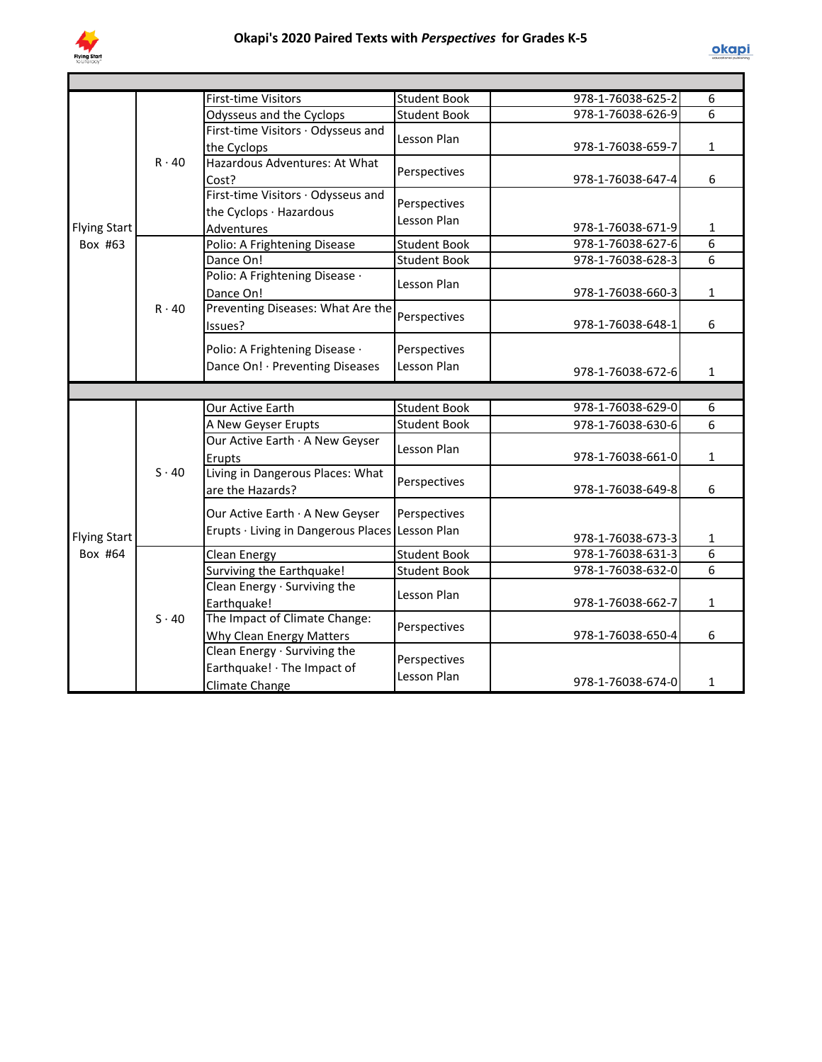

|                     |              | <b>First-time Visitors</b>                      | <b>Student Book</b>         | 978-1-76038-625-2 | 6            |
|---------------------|--------------|-------------------------------------------------|-----------------------------|-------------------|--------------|
|                     |              | Odysseus and the Cyclops                        | <b>Student Book</b>         | 978-1-76038-626-9 | 6            |
|                     |              | First-time Visitors · Odysseus and              | Lesson Plan                 |                   |              |
|                     |              | the Cyclops                                     |                             | 978-1-76038-659-7 | $\mathbf{1}$ |
|                     | $R \cdot 40$ | Hazardous Adventures: At What                   | Perspectives                |                   |              |
|                     |              | Cost?                                           |                             | 978-1-76038-647-4 | 6            |
|                     |              | First-time Visitors · Odysseus and              | Perspectives                |                   |              |
|                     |              | the Cyclops · Hazardous                         | Lesson Plan                 |                   |              |
| <b>Flying Start</b> |              | Adventures                                      |                             | 978-1-76038-671-9 | 1            |
| Box #63             |              | Polio: A Frightening Disease                    | <b>Student Book</b>         | 978-1-76038-627-6 | 6            |
|                     |              | Dance On!                                       | <b>Student Book</b>         | 978-1-76038-628-3 | 6            |
|                     |              | Polio: A Frightening Disease ·                  | Lesson Plan                 |                   |              |
|                     |              | Dance On!                                       |                             | 978-1-76038-660-3 | $\mathbf{1}$ |
|                     | $R \cdot 40$ | Preventing Diseases: What Are the               | Perspectives                |                   |              |
|                     |              | Issues?                                         |                             | 978-1-76038-648-1 | 6            |
|                     |              | Polio: A Frightening Disease .                  | Perspectives                |                   |              |
|                     |              | Dance On! · Preventing Diseases                 | Lesson Plan                 |                   |              |
|                     |              |                                                 |                             | 978-1-76038-672-6 | $\mathbf{1}$ |
|                     |              |                                                 |                             |                   |              |
|                     | $S \cdot 40$ | Our Active Earth                                | <b>Student Book</b>         | 978-1-76038-629-0 | 6            |
|                     |              | A New Geyser Erupts                             | <b>Student Book</b>         | 978-1-76038-630-6 | 6            |
|                     |              | Our Active Earth · A New Geyser                 | Lesson Plan                 |                   |              |
|                     |              | Erupts                                          |                             | 978-1-76038-661-0 | $\mathbf{1}$ |
|                     |              | Living in Dangerous Places: What                | Perspectives                |                   |              |
|                     |              | are the Hazards?                                |                             | 978-1-76038-649-8 | 6            |
|                     |              |                                                 |                             |                   |              |
|                     |              | Our Active Earth · A New Geyser                 | Perspectives                |                   |              |
| <b>Flying Start</b> |              | Erupts · Living in Dangerous Places Lesson Plan |                             | 978-1-76038-673-3 | 1            |
| Box #64             | $S \cdot 40$ | <b>Clean Energy</b>                             | <b>Student Book</b>         | 978-1-76038-631-3 | 6            |
|                     |              | Surviving the Earthquake!                       | <b>Student Book</b>         | 978-1-76038-632-0 | 6            |
|                     |              | Clean Energy · Surviving the                    |                             |                   |              |
|                     |              | Earthquake!                                     | Lesson Plan                 | 978-1-76038-662-7 | $\mathbf{1}$ |
|                     |              | The Impact of Climate Change:                   | Perspectives                |                   |              |
|                     |              | Why Clean Energy Matters                        |                             | 978-1-76038-650-4 | 6            |
|                     |              | Clean Energy · Surviving the                    |                             |                   |              |
|                     |              | Earthquake! · The Impact of                     | Perspectives<br>Lesson Plan |                   |              |
|                     |              | <b>Climate Change</b>                           |                             | 978-1-76038-674-0 | 1            |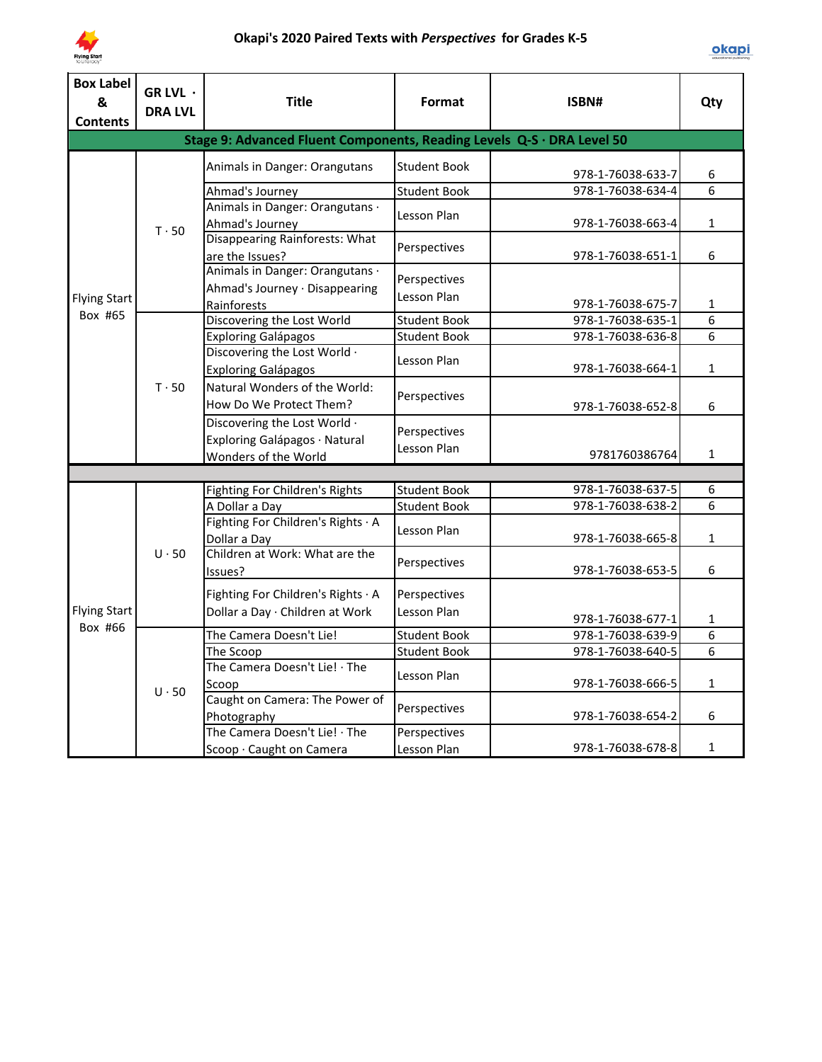

| <b>Box Label</b><br>&<br><b>Contents</b> | GR LVL ·<br><b>DRA LVL</b> | <b>Title</b>                                                                          | Format                      | ISBN#             | Qty            |
|------------------------------------------|----------------------------|---------------------------------------------------------------------------------------|-----------------------------|-------------------|----------------|
|                                          |                            | Stage 9: Advanced Fluent Components, Reading Levels Q-S · DRA Level 50                |                             |                   |                |
|                                          |                            | Animals in Danger: Orangutans                                                         | <b>Student Book</b>         | 978-1-76038-633-7 | 6              |
|                                          |                            | Ahmad's Journey                                                                       | <b>Student Book</b>         | 978-1-76038-634-4 | 6              |
|                                          | $T \cdot 50$               | Animals in Danger: Orangutans ·<br>Ahmad's Journey                                    | Lesson Plan                 | 978-1-76038-663-4 | $\mathbf{1}$   |
|                                          |                            | <b>Disappearing Rainforests: What</b><br>are the Issues?                              | Perspectives                | 978-1-76038-651-1 | 6              |
| <b>Flying Start</b>                      |                            | Animals in Danger: Orangutans ·<br>Ahmad's Journey · Disappearing<br>Rainforests      | Perspectives<br>Lesson Plan | 978-1-76038-675-7 | $\mathbf{1}$   |
| Box #65                                  |                            | Discovering the Lost World                                                            | <b>Student Book</b>         | 978-1-76038-635-1 | 6              |
|                                          |                            | <b>Exploring Galápagos</b>                                                            | <b>Student Book</b>         | 978-1-76038-636-8 | 6              |
|                                          |                            | Discovering the Lost World .<br><b>Exploring Galápagos</b>                            | Lesson Plan                 | 978-1-76038-664-1 | $\mathbf{1}$   |
|                                          | $T \cdot 50$               | Natural Wonders of the World:<br>How Do We Protect Them?                              | Perspectives                | 978-1-76038-652-8 | 6              |
|                                          |                            | Discovering the Lost World .<br>Exploring Galápagos · Natural<br>Wonders of the World | Perspectives<br>Lesson Plan | 9781760386764     | 1              |
|                                          |                            |                                                                                       |                             |                   |                |
|                                          |                            | Fighting For Children's Rights                                                        | <b>Student Book</b>         | 978-1-76038-637-5 | 6              |
|                                          |                            | A Dollar a Day                                                                        | <b>Student Book</b>         | 978-1-76038-638-2 | 6              |
|                                          |                            | Fighting For Children's Rights · A<br>Dollar a Day                                    | Lesson Plan                 | 978-1-76038-665-8 | $\mathbf{1}$   |
| <b>Flying Start</b>                      | $U \cdot 50$               | Children at Work: What are the<br>Issues?                                             | Perspectives                | 978-1-76038-653-5 | 6              |
|                                          |                            | Fighting For Children's Rights · A<br>Dollar a Day · Children at Work                 | Perspectives<br>Lesson Plan | 978-1-76038-677-1 | 1              |
| Box #66                                  |                            | The Camera Doesn't Lie!                                                               | Student Book                | 978-1-76038-639-9 | $\overline{6}$ |
|                                          | $U \cdot 50$               | The Scoop                                                                             | <b>Student Book</b>         | 978-1-76038-640-5 | 6              |
|                                          |                            | The Camera Doesn't Lie! · The<br>Scoop                                                | Lesson Plan                 | 978-1-76038-666-5 | 1              |
|                                          |                            | Caught on Camera: The Power of<br>Photography                                         | Perspectives                | 978-1-76038-654-2 | 6              |
|                                          |                            | The Camera Doesn't Lie! · The<br>Scoop · Caught on Camera                             | Perspectives<br>Lesson Plan | 978-1-76038-678-8 | $\mathbf{1}$   |